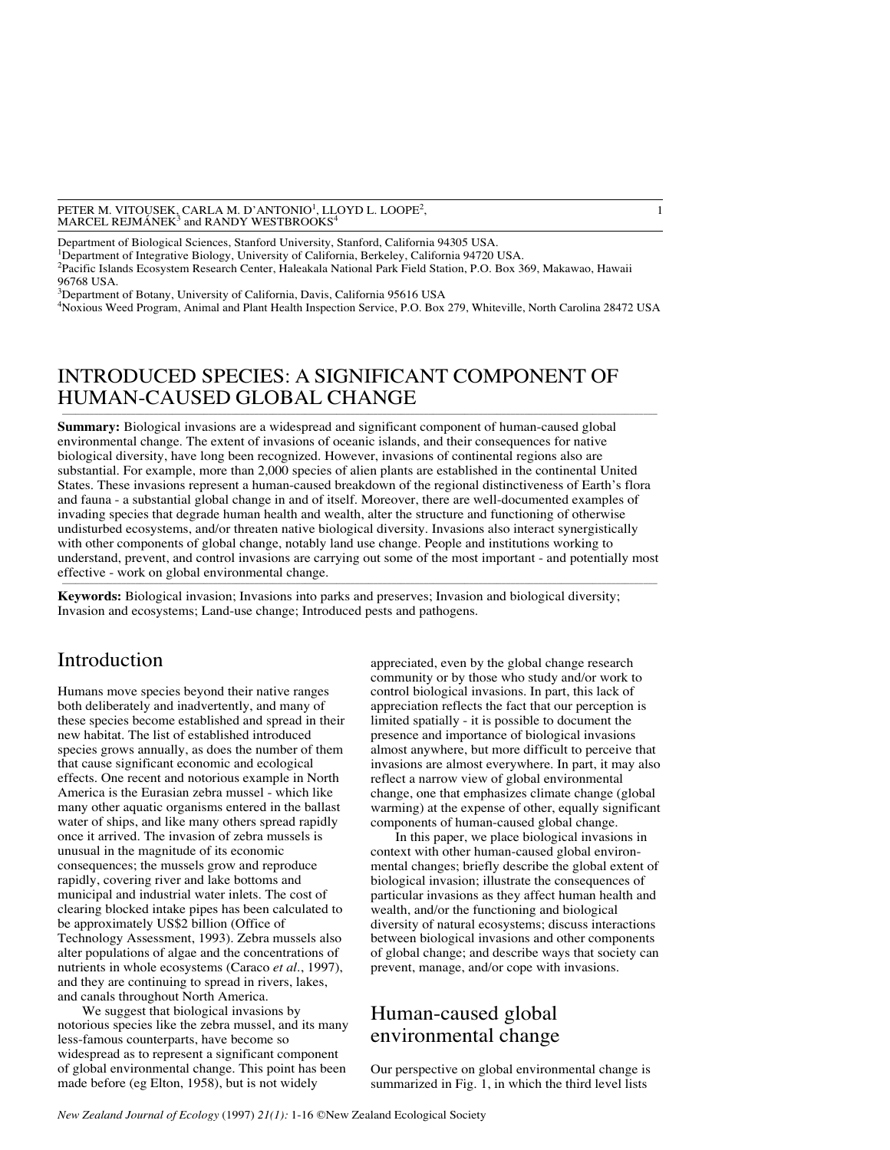#### PETER M. VITOUSEK, CARLA M. D'ANTONIO<sup>1</sup>, LLOYD L. LOOPE<sup>2</sup>, land and set al. and set al. and set al. and set al. a<br>MARCEL REJMÁNEK<sup>3</sup> and RANDY WESTBROOKS<sup>4</sup> MARCEL REJMÁNEK<sup>3</sup> and RANDY WESTBROOKS<sup>4</sup>

Department of Biological Sciences, Stanford University, Stanford, California 94305 USA. <sup>1</sup>Department of Integrative Biology, University of California, Berkeley, California 94720 USA. 2 Pacific Islands Ecosystem Research Center, Haleakala National Park Field Station, P.O. Box 369, Makawao, Hawaii 96768 USA.

3 Department of Botany, University of California, Davis, California 95616 USA 4 Noxious Weed Program, Animal and Plant Health Inspection Service, P.O. Box 279, Whiteville, North Carolina 28472 USA

# INTRODUCED SPECIES: A SIGNIFICANT COMPONENT OF HUMAN-CAUSED GLOBAL CHANGE

**Summary:** Biological invasions are a widespread and significant component of human-caused global environmental change. The extent of invasions of oceanic islands, and their consequences for native biological diversity, have long been recognized. However, invasions of continental regions also are substantial. For example, more than 2,000 species of alien plants are established in the continental United States. These invasions represent a human-caused breakdown of the regional distinctiveness of Earth's flora and fauna - a substantial global change in and of itself. Moreover, there are well-documented examples of invading species that degrade human health and wealth, alter the structure and functioning of otherwise undisturbed ecosystems, and/or threaten native biological diversity. Invasions also interact synergistically with other components of global change, notably land use change. People and institutions working to understand, prevent, and control invasions are carrying out some of the most important - and potentially most effective - work on global environmental change.  $\mathcal{L}^{\text{max}}$  and the set of the set of the set of the set of the set of the set of the set of the set of the set of the set of the set of the set of the set of the set of the set of the set of the set of the set of the

**Keywords:** Biological invasion; Invasions into parks and preserves; Invasion and biological diversity; Invasion and ecosystems; Land-use change; Introduced pests and pathogens.

# Introduction

Humans move species beyond their native ranges both deliberately and inadvertently, and many of these species become established and spread in their new habitat. The list of established introduced species grows annually, as does the number of them that cause significant economic and ecological effects. One recent and notorious example in North America is the Eurasian zebra mussel - which like many other aquatic organisms entered in the ballast water of ships, and like many others spread rapidly once it arrived. The invasion of zebra mussels is unusual in the magnitude of its economic consequences; the mussels grow and reproduce rapidly, covering river and lake bottoms and municipal and industrial water inlets. The cost of clearing blocked intake pipes has been calculated to be approximately US\$2 billion (Office of Technology Assessment, 1993). Zebra mussels also alter populations of algae and the concentrations of nutrients in whole ecosystems (Caraco *et al.*, 1997), and they are continuing to spread in rivers, lakes, and canals throughout North America.

We suggest that biological invasions by notorious species like the zebra mussel, and its many less-famous counterparts, have become so widespread as to represent a significant component of global environmental change. This point has been made before (eg Elton, 1958), but is not widely

appreciated, even by the global change research community or by those who study and/or work to control biological invasions. In part, this lack of appreciation reflects the fact that our perception is limited spatially - it is possible to document the presence and importance of biological invasions almost anywhere, but more difficult to perceive that invasions are almost everywhere. In part, it may also reflect a narrow view of global environmental change, one that emphasizes climate change (global warming) at the expense of other, equally significant components of human-caused global change.

In this paper, we place biological invasions in context with other human-caused global environmental changes; briefly describe the global extent of biological invasion; illustrate the consequences of particular invasions as they affect human health and wealth, and/or the functioning and biological diversity of natural ecosystems; discuss interactions between biological invasions and other components of global change; and describe ways that society can prevent, manage, and/or cope with invasions.

# Human-caused global environmental change

Our perspective on global environmental change is summarized in Fig. 1, in which the third level lists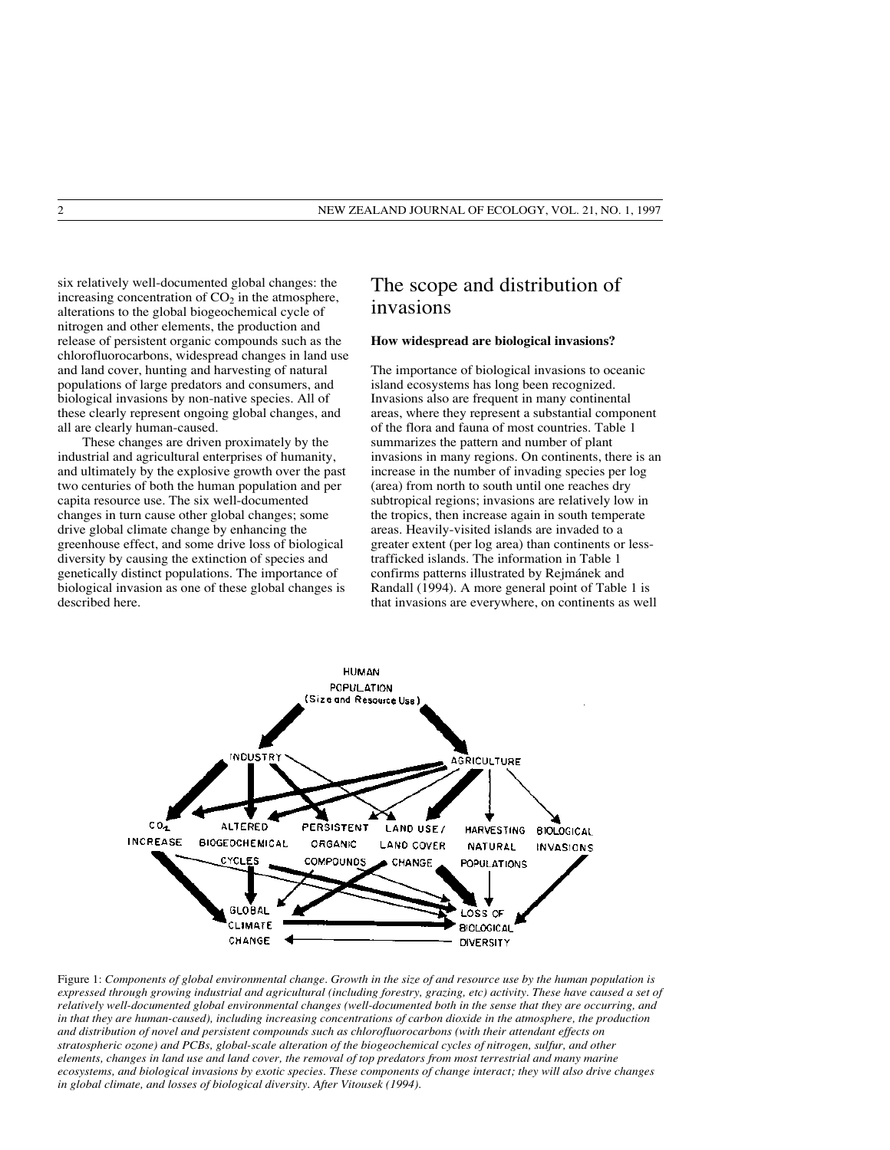six relatively well-documented global changes: the increasing concentration of  $CO<sub>2</sub>$  in the atmosphere, alterations to the global biogeochemical cycle of nitrogen and other elements, the production and release of persistent organic compounds such as the chlorofluorocarbons, widespread changes in land use and land cover, hunting and harvesting of natural populations of large predators and consumers, and biological invasions by non-native species. All of these clearly represent ongoing global changes, and all are clearly human-caused.

These changes are driven proximately by the industrial and agricultural enterprises of humanity, and ultimately by the explosive growth over the past two centuries of both the human population and per capita resource use. The six well-documented changes in turn cause other global changes; some drive global climate change by enhancing the greenhouse effect, and some drive loss of biological diversity by causing the extinction of species and genetically distinct populations. The importance of biological invasion as one of these global changes is described here.

# The scope and distribution of invasions

#### **How widespread are biological invasions?**

The importance of biological invasions to oceanic island ecosystems has long been recognized. Invasions also are frequent in many continental areas, where they represent a substantial component of the flora and fauna of most countries. Table 1 summarizes the pattern and number of plant invasions in many regions. On continents, there is an increase in the number of invading species per log (area) from north to south until one reaches dry subtropical regions; invasions are relatively low in the tropics, then increase again in south temperate areas. Heavily-visited islands are invaded to a greater extent (per log area) than continents or lesstrafficked islands. The information in Table 1 confirms patterns illustrated by Rejmánek and Randall (1994). A more general point of Table 1 is that invasions are everywhere, on continents as well



Figure 1: *Components of global environmental change. Growth in the size of and resource use by the human population is expressed through growing industrial and agricultural (including forestry, grazing, etc) activity. These have caused a set of relatively well-documented global environmental changes (well-documented both in the sense that they are occurring, and in that they are human-caused), including increasing concentrations of carbon dioxide in the atmosphere, the production and distribution of novel and persistent compounds such as chlorofluorocarbons (with their attendant effects on stratospheric ozone) and PCBs, global-scale alteration of the biogeochemical cycles of nitrogen, sulfur, and other elements, changes in land use and land cover, the removal of top predators from most terrestrial and many marine ecosystems, and biological invasions by exotic species. These components of change interact; they will also drive changes in global climate, and losses of biological diversity. After Vitousek (1994).*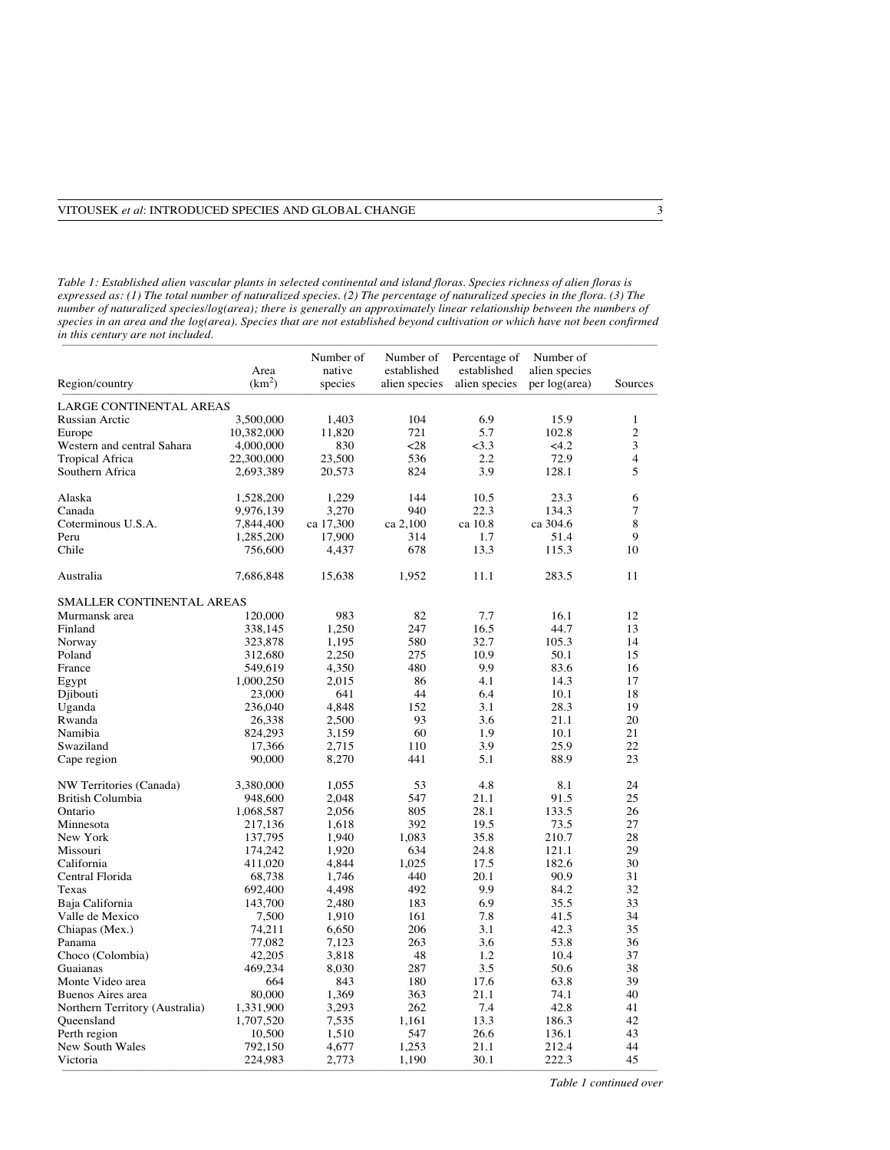*Table 1: Established alien vascular plants in selected continental and island floras. Species richness of alien floras is expressed as: (1) The total number of naturalized species. (2) The percentage of naturalized species in the flora. (3) The number of naturalized species/log(area); there is generally an approximately linear relationship between the numbers of species in an area and the log(area). Species that are not established beyond cultivation or which have not been confirmed in this century are not included.*

|                                    |                    | Number of      | Number of      | Percentage of | Number of      |                         |
|------------------------------------|--------------------|----------------|----------------|---------------|----------------|-------------------------|
|                                    | Area               | native         | established    | established   | alien species  |                         |
| Region/country                     | (km <sup>2</sup> ) | species        | alien species  | alien species | per log(area)  | Sources                 |
| <b>LARGE CONTINENTAL AREAS</b>     |                    |                |                |               |                |                         |
| <b>Russian Arctic</b>              | 3,500,000          | 1,403          | 104            | 6.9           | 15.9           | $\mathbf{1}$            |
| Europe                             | 10,382,000         | 11,820         | 721            | 5.7           | 102.8          | $\overline{c}$          |
| Western and central Sahara         | 4,000,000          | 830            | $28$           | $<$ 3.3       | <4.2           | 3                       |
| <b>Tropical Africa</b>             | 22,300,000         | 23,500         | 536            | 2.2           | 72.9           | $\overline{\mathbf{4}}$ |
| Southern Africa                    | 2,693,389          | 20,573         | 824            | 3.9           | 128.1          | 5                       |
|                                    |                    |                |                |               |                |                         |
| Alaska                             | 1,528,200          | 1,229          | 144            | 10.5          | 23.3           | 6                       |
| Canada                             | 9,976,139          | 3,270          | 940            | 22.3          | 134.3          | 7                       |
| Coterminous U.S.A.                 | 7,844,400          | ca 17,300      | ca 2,100       | ca 10.8       | ca 304.6       | 8                       |
| Peru                               | 1,285,200          | 17,900         | 314            | 1.7           | 51.4           | 9                       |
| Chile                              | 756,600            | 4,437          | 678            | 13.3          | 115.3          | 10                      |
| Australia                          | 7,686,848          | 15,638         | 1,952          | 11.1          | 283.5          | 11                      |
|                                    |                    |                |                |               |                |                         |
| <b>SMALLER CONTINENTAL AREAS</b>   |                    |                |                |               |                |                         |
| Murmansk area                      | 120,000            | 983            | 82             | 7.7           | 16.1           | 12                      |
| Finland                            | 338,145            | 1,250          | 247            | 16.5          | 44.7           | 13                      |
| Norway                             | 323,878            | 1,195          | 580            | 32.7          | 105.3          | 14                      |
| Poland                             | 312,680            | 2,250          | 275            | 10.9          | 50.1           | 15                      |
| France                             | 549,619            | 4,350          | 480            | 9.9           | 83.6           | 16                      |
| Egypt                              | 1,000,250          | 2,015          | 86             | 4.1           | 14.3           | 17                      |
| Djibouti                           | 23,000             | 641            | 44             | 6.4           | 10.1           | 18                      |
| Uganda                             | 236,040            | 4,848          | 152            | 3.1           | 28.3           | 19                      |
| Rwanda                             | 26,338             | 2,500          | 93             | 3.6           | 21.1           | 20                      |
| Namibia                            | 824,293            | 3,159          | 60             | 1.9           | 10.1           | 21                      |
| Swaziland                          | 17,366             | 2,715          | 110            | 3.9           | 25.9           | 22                      |
| Cape region                        | 90,000             | 8,270          | 441            | 5.1           | 88.9           | 23                      |
|                                    |                    |                |                |               |                |                         |
| NW Territories (Canada)            | 3,380,000          | 1,055          | 53             | 4.8           | 8.1            | 24                      |
| <b>British Columbia</b>            | 948,600            | 2,048          | 547            | 21.1          | 91.5           | 25                      |
| Ontario                            | 1,068,587          | 2,056          | 805            | 28.1          | 133.5          | 26                      |
| Minnesota                          | 217,136            | 1,618          | 392            | 19.5          | 73.5           | 27                      |
| New York                           | 137,795            | 1,940          | 1,083          | 35.8          | 210.7          | 28                      |
| Missouri                           | 174,242            | 1,920          | 634            | 24.8          | 121.1          | 29                      |
| California                         | 411,020            | 4,844          | 1,025          | 17.5          | 182.6          | 30                      |
| Central Florida                    | 68,738             | 1,746          | 440            | 20.1          | 90.9           | 31                      |
| Texas                              | 692,400            | 4,498          | 492            | 9.9           | 84.2           | 32                      |
| Baja California                    | 143,700            | 2,480          | 183            | 6.9           | 35.5           | 33                      |
| Valle de Mexico                    | 7,500              | 1,910          | 161            | 7.8           | 41.5           | 34                      |
| Chiapas (Mex.)                     | 74,211             | 6,650          | 206            | 3.1           | 42.3           | 35                      |
| Panama                             | 77,082             | 7,123          | 263            | 3.6           | 53.8           | 36                      |
| Choco (Colombia)                   | 42,205             | 3,818          | 48             | 1.2           | 10.4           | 37                      |
| Guaianas                           | 469,234            | 8,030          | 287            | 3.5           | 50.6           | 38                      |
| Monte Video area                   | 664                | 843            | 180            | 17.6          | 63.8           | 39                      |
| Buenos Aires area                  | 80,000             | 1,369          | 363            | 21.1          | 74.1           | 40                      |
| Northern Territory (Australia)     | 1,331,900          | 3,293          | 262            | 7.4           | 42.8           | 41                      |
|                                    |                    |                |                | 13.3          |                | 42                      |
| Queensland                         | 1,707,520          | 7,535          | 1,161          |               | 186.3          |                         |
| Perth region                       | 10,500             | 1,510          | 547            | 26.6          | 136.1          | 43                      |
| <b>New South Wales</b><br>Victoria | 792,150<br>224,983 | 4,677<br>2,773 | 1,253<br>1,190 | 21.1<br>30.1  | 212.4<br>222.3 | 44<br>45                |
|                                    |                    |                |                |               |                |                         |

*Table 1 continued over*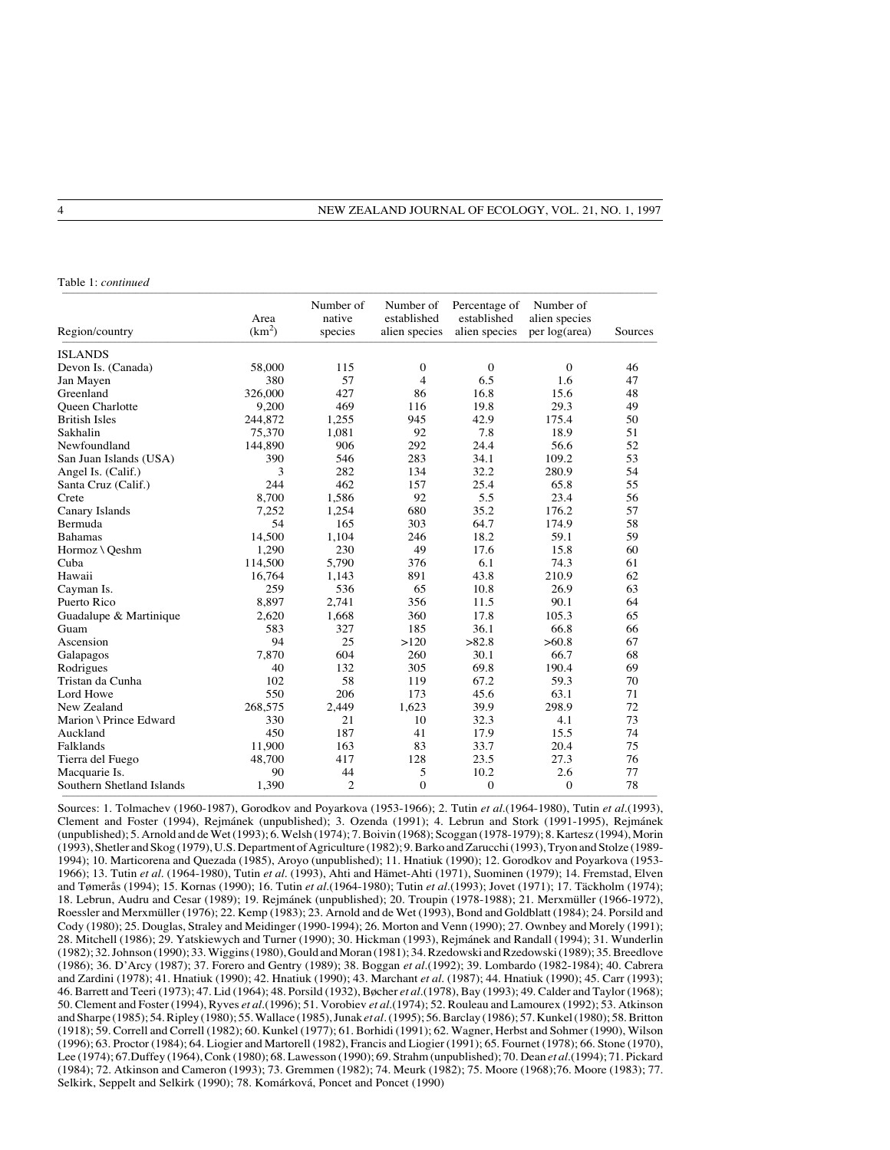| Table 1: continued        |                            |                                |                                           |                                               |                                             |         |  |  |
|---------------------------|----------------------------|--------------------------------|-------------------------------------------|-----------------------------------------------|---------------------------------------------|---------|--|--|
| Region/country            | Area<br>(km <sup>2</sup> ) | Number of<br>native<br>species | Number of<br>established<br>alien species | Percentage of<br>established<br>alien species | Number of<br>alien species<br>per log(area) | Sources |  |  |
| <b>ISLANDS</b>            |                            |                                |                                           |                                               |                                             |         |  |  |
| Devon Is. (Canada)        | 58,000                     | 115                            | $\mathbf{0}$                              | $\mathbf{0}$                                  | $\mathbf{0}$                                | 46      |  |  |
| Jan Mayen                 | 380                        | 57                             | $\overline{4}$                            | 6.5                                           | 1.6                                         | 47      |  |  |
| Greenland                 | 326,000                    | 427                            | 86                                        | 16.8                                          | 15.6                                        | 48      |  |  |
| <b>Oueen Charlotte</b>    | 9,200                      | 469                            | 116                                       | 19.8                                          | 29.3                                        | 49      |  |  |
| <b>British Isles</b>      | 244,872                    | 1,255                          | 945                                       | 42.9                                          | 175.4                                       | 50      |  |  |
| Sakhalin                  | 75,370                     | 1,081                          | 92                                        | 7.8                                           | 18.9                                        | 51      |  |  |
| Newfoundland              | 144,890                    | 906                            | 292                                       | 24.4                                          | 56.6                                        | 52      |  |  |
| San Juan Islands (USA)    | 390                        | 546                            | 283                                       | 34.1                                          | 109.2                                       | 53      |  |  |
| Angel Is. (Calif.)        | 3                          | 282                            | 134                                       | 32.2                                          | 280.9                                       | 54      |  |  |
| Santa Cruz (Calif.)       | 244                        | 462                            | 157                                       | 25.4                                          | 65.8                                        | 55      |  |  |
| Crete                     | 8,700                      | 1,586                          | 92                                        | 5.5                                           | 23.4                                        | 56      |  |  |
| Canary Islands            | 7,252                      | 1,254                          | 680                                       | 35.2                                          | 176.2                                       | 57      |  |  |
| Bermuda                   | 54                         | 165                            | 303                                       | 64.7                                          | 174.9                                       | 58      |  |  |
| <b>Bahamas</b>            | 14,500                     | 1.104                          | 246                                       | 18.2                                          | 59.1                                        | 59      |  |  |
| Hormoz \ Qeshm            | 1,290                      | 230                            | 49                                        | 17.6                                          | 15.8                                        | 60      |  |  |
| Cuba                      | 114,500                    | 5,790                          | 376                                       | 6.1                                           | 74.3                                        | 61      |  |  |
| Hawaii                    | 16,764                     | 1,143                          | 891                                       | 43.8                                          | 210.9                                       | 62      |  |  |
| Cayman Is.                | 259                        | 536                            | 65                                        | 10.8                                          | 26.9                                        | 63      |  |  |
| Puerto Rico               | 8,897                      | 2,741                          | 356                                       | 11.5                                          | 90.1                                        | 64      |  |  |
| Guadalupe & Martinique    | 2,620                      | 1,668                          | 360                                       | 17.8                                          | 105.3                                       | 65      |  |  |
| Guam                      | 583                        | 327                            | 185                                       | 36.1                                          | 66.8                                        | 66      |  |  |
| Ascension                 | 94                         | 25                             | >120                                      | >82.8                                         | >60.8                                       | 67      |  |  |
| Galapagos                 | 7,870                      | 604                            | 260                                       | 30.1                                          | 66.7                                        | 68      |  |  |
| Rodrigues                 | 40                         | 132                            | 305                                       | 69.8                                          | 190.4                                       | 69      |  |  |
| Tristan da Cunha          | 102                        | 58                             | 119                                       | 67.2                                          | 59.3                                        | 70      |  |  |
| Lord Howe                 | 550                        | 206                            | 173                                       | 45.6                                          | 63.1                                        | 71      |  |  |
| New Zealand               | 268,575                    | 2,449                          | 1,623                                     | 39.9                                          | 298.9                                       | 72      |  |  |
| Marion \ Prince Edward    | 330                        | 21                             | 10                                        | 32.3                                          | 4.1                                         | 73      |  |  |
| Auckland                  | 450                        | 187                            | 41                                        | 17.9                                          | 15.5                                        | 74      |  |  |
| Falklands                 | 11,900                     | 163                            | 83                                        | 33.7                                          | 20.4                                        | 75      |  |  |
| Tierra del Fuego          | 48,700                     | 417                            | 128                                       | 23.5                                          | 27.3                                        | 76      |  |  |
| Macquarie Is.             | 90                         | 44                             | 5                                         | 10.2                                          | 2.6                                         | 77      |  |  |
| Southern Shetland Islands | 1,390                      | $\overline{c}$                 | $\mathbf{0}$                              | $\mathbf{0}$                                  | $\mathbf{0}$                                | 78      |  |  |

Sources: 1. Tolmachev (1960-1987), Gorodkov and Poyarkova (1953-1966); 2. Tutin *et al*.(1964-1980), Tutin *et al*.(1993), Clement and Foster (1994), Rejmánek (unpublished); 3. Ozenda (1991); 4. Lebrun and Stork (1991-1995), Rejmánek (unpublished); 5. Arnold and de Wet (1993); 6. Welsh (1974); 7. Boivin (1968); Scoggan (1978-1979); 8. Kartesz (1994), Morin (1993), Shetler and Skog (1979), U.S. Department of Agriculture (1982); 9. Barko and Zarucchi (1993), Tryon and Stolze (1989- 1994); 10. Marticorena and Quezada (1985), Aroyo (unpublished); 11. Hnatiuk (1990); 12. Gorodkov and Poyarkova (1953- 1966); 13. Tutin *et al*. (1964-1980), Tutin *et al*. (1993), Ahti and Hämet-Ahti (1971), Suominen (1979); 14. Fremstad, Elven and Tømerås (1994); 15. Kornas (1990); 16. Tutin *et al*.(1964-1980); Tutin *et al*.(1993); Jovet (1971); 17. Täckholm (1974); 18. Lebrun, Audru and Cesar (1989); 19. Rejmánek (unpublished); 20. Troupin (1978-1988); 21. Merxmüller (1966-1972), Roessler and Merxmüller (1976); 22. Kemp (1983); 23. Arnold and de Wet (1993), Bond and Goldblatt (1984); 24. Porsild and Cody (1980); 25. Douglas, Straley and Meidinger (1990-1994); 26. Morton and Venn (1990); 27. Ownbey and Morely (1991); 28. Mitchell (1986); 29. Yatskiewych and Turner (1990); 30. Hickman (1993), Rejmánek and Randall (1994); 31. Wunderlin (1982); 32. Johnson (1990); 33. Wiggins (1980), Gould and Moran (1981); 34. Rzedowski and Rzedowski (1989); 35. Breedlove (1986); 36. D'Arcy (1987); 37. Forero and Gentry (1989); 38. Boggan *et al*.(1992); 39. Lombardo (1982-1984); 40. Cabrera and Zardini (1978); 41. Hnatiuk (1990); 42. Hnatiuk (1990); 43. Marchant *et al*. (1987); 44. Hnatiuk (1990); 45. Carr (1993); 46. Barrett and Teeri (1973); 47. Lid (1964); 48. Porsild (1932), Bøcher *et al*.(1978), Bay (1993); 49. Calder and Taylor (1968); 50. Clement and Foster (1994), Ryves *et al*.(1996); 51. Vorobiev *et al*.(1974); 52. Rouleau and Lamourex (1992); 53. Atkinson and Sharpe (1985); 54. Ripley (1980); 55. Wallace (1985), Junak *et al*. (1995); 56. Barclay (1986); 57. Kunkel (1980); 58. Britton (1918); 59. Correll and Correll (1982); 60. Kunkel (1977); 61. Borhidi (1991); 62. Wagner, Herbst and Sohmer (1990), Wilson (1996); 63. Proctor (1984); 64. Liogier and Martorell (1982), Francis and Liogier (1991); 65. Fournet (1978); 66. Stone (1970), Lee (1974); 67.Duffey (1964), Conk (1980); 68. Lawesson (1990); 69. Strahm (unpublished); 70. Dean *et al*.(1994); 71. Pickard (1984); 72. Atkinson and Cameron (1993); 73. Gremmen (1982); 74. Meurk (1982); 75. Moore (1968);76. Moore (1983); 77. Selkirk, Seppelt and Selkirk (1990); 78. Komárková, Poncet and Poncet (1990)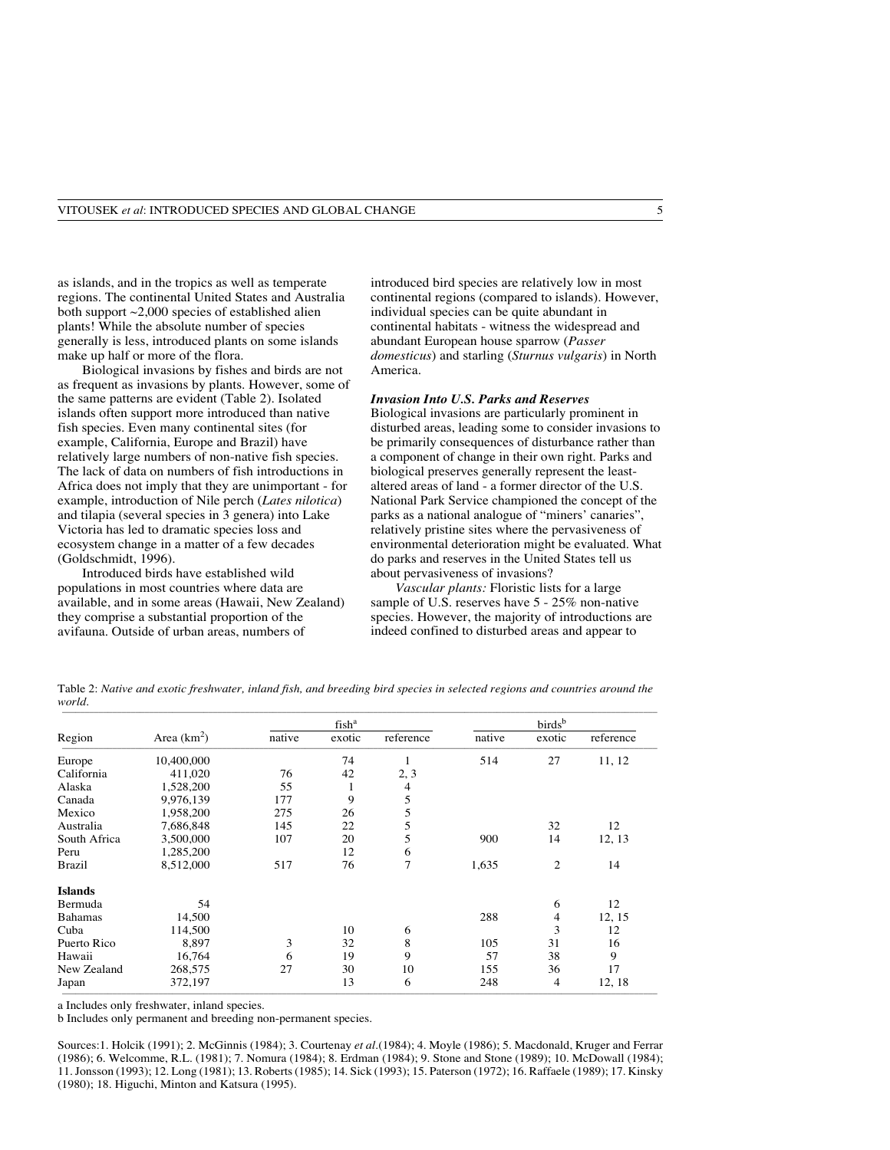as islands, and in the tropics as well as temperate regions. The continental United States and Australia both support ~2,000 species of established alien plants! While the absolute number of species generally is less, introduced plants on some islands make up half or more of the flora.

Biological invasions by fishes and birds are not as frequent as invasions by plants. However, some of the same patterns are evident (Table 2). Isolated islands often support more introduced than native fish species. Even many continental sites (for example, California, Europe and Brazil) have relatively large numbers of non-native fish species. The lack of data on numbers of fish introductions in Africa does not imply that they are unimportant - for example, introduction of Nile perch (*Lates nilotica*) and tilapia (several species in 3 genera) into Lake Victoria has led to dramatic species loss and ecosystem change in a matter of a few decades (Goldschmidt, 1996).

Introduced birds have established wild populations in most countries where data are available, and in some areas (Hawaii, New Zealand) they comprise a substantial proportion of the avifauna. Outside of urban areas, numbers of

introduced bird species are relatively low in most continental regions (compared to islands). However, individual species can be quite abundant in continental habitats - witness the widespread and abundant European house sparrow (*Passer domesticus*) and starling (*Sturnus vulgaris*) in North America.

### *Invasion Into U.S. Parks and Reserves*

Biological invasions are particularly prominent in disturbed areas, leading some to consider invasions to be primarily consequences of disturbance rather than a component of change in their own right. Parks and biological preserves generally represent the leastaltered areas of land - a former director of the U.S. National Park Service championed the concept of the parks as a national analogue of "miners' canaries", relatively pristine sites where the pervasiveness of environmental deterioration might be evaluated. What do parks and reserves in the United States tell us about pervasiveness of invasions?

*Vascular plants:* Floristic lists for a large sample of U.S. reserves have 5 - 25% non-native species. However, the majority of introductions are indeed confined to disturbed areas and appear to

Table 2: *Native and exotic freshwater, inland fish, and breeding bird species in selected regions and countries around the world.* \_\_\_\_\_\_\_\_\_\_\_\_\_\_\_\_\_\_\_\_\_\_\_\_\_\_\_\_\_\_\_\_\_\_\_\_\_\_\_\_\_\_\_\_\_\_\_\_\_\_\_\_\_\_\_\_\_\_\_\_\_\_\_\_\_\_\_\_\_\_\_\_\_\_\_\_\_\_\_\_\_\_\_\_\_\_\_\_\_\_\_\_\_\_\_\_\_\_\_\_\_\_\_\_\_\_\_\_\_\_\_\_\_\_\_\_\_\_\_\_\_\_\_\_\_\_\_\_\_\_

|                |               |        | fish <sup>a</sup> |           |        | birds <sup>b</sup> |           |
|----------------|---------------|--------|-------------------|-----------|--------|--------------------|-----------|
| Region         | Area $(km^2)$ | native | exotic            | reference | native | exotic             | reference |
| Europe         | 10,400,000    |        | 74                | 1         | 514    | 27                 | 11, 12    |
| California     | 411,020       | 76     | 42                | 2, 3      |        |                    |           |
| Alaska         | 1,528,200     | 55     | 1                 | 4         |        |                    |           |
| Canada         | 9,976,139     | 177    | 9                 | 5         |        |                    |           |
| Mexico         | 1,958,200     | 275    | 26                | 5         |        |                    |           |
| Australia      | 7,686,848     | 145    | 22                | 5         |        | 32                 | 12        |
| South Africa   | 3,500,000     | 107    | 20                | 5         | 900    | 14                 | 12, 13    |
| Peru           | 1,285,200     |        | 12                | 6         |        |                    |           |
| <b>Brazil</b>  | 8,512,000     | 517    | 76                | 7         | 1,635  | $\overline{2}$     | 14        |
| <b>Islands</b> |               |        |                   |           |        |                    |           |
| Bermuda        | 54            |        |                   |           |        | 6                  | 12        |
| <b>Bahamas</b> | 14,500        |        |                   |           | 288    | 4                  | 12, 15    |
| Cuba           | 114,500       |        | 10                | 6         |        | 3                  | 12        |
| Puerto Rico    | 8,897         | 3      | 32                | 8         | 105    | 31                 | 16        |
| Hawaii         | 16,764        | 6      | 19                | 9         | 57     | 38                 | 9         |
| New Zealand    | 268,575       | 27     | 30                | 10        | 155    | 36                 | 17        |
| Japan          | 372,197       |        | 13                | 6         | 248    | 4                  | 12, 18    |

a Includes only freshwater, inland species.

b Includes only permanent and breeding non-permanent species.

Sources:1. Holcik (1991); 2. McGinnis (1984); 3. Courtenay *et al.*(1984); 4. Moyle (1986); 5. Macdonald, Kruger and Ferrar (1986); 6. Welcomme, R.L. (1981); 7. Nomura (1984); 8. Erdman (1984); 9. Stone and Stone (1989); 10. McDowall (1984); 11. Jonsson (1993); 12. Long (1981); 13. Roberts (1985); 14. Sick (1993); 15. Paterson (1972); 16. Raffaele (1989); 17. Kinsky (1980); 18. Higuchi, Minton and Katsura (1995).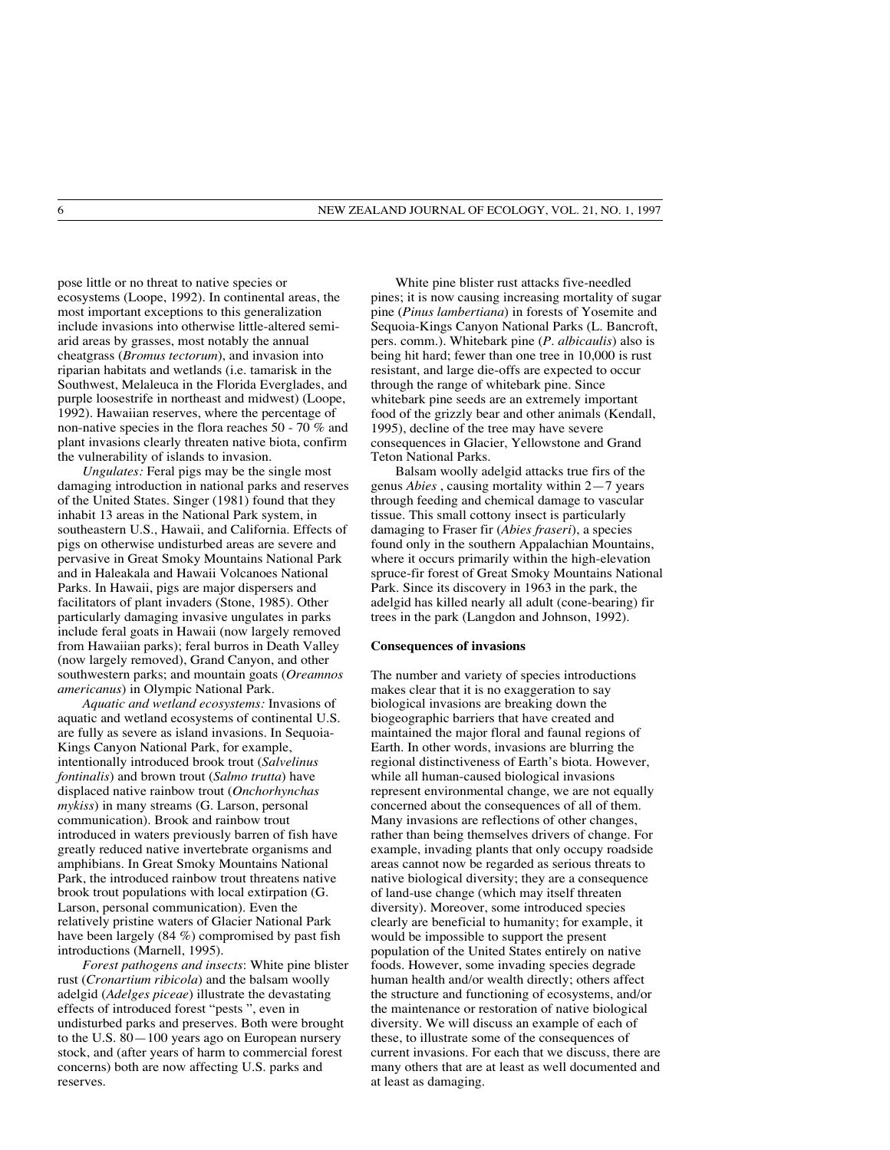pose little or no threat to native species or ecosystems (Loope, 1992). In continental areas, the most important exceptions to this generalization include invasions into otherwise little-altered semiarid areas by grasses, most notably the annual cheatgrass (*Bromus tectorum*), and invasion into riparian habitats and wetlands (i.e. tamarisk in the Southwest, Melaleuca in the Florida Everglades, and purple loosestrife in northeast and midwest) (Loope, 1992). Hawaiian reserves, where the percentage of non-native species in the flora reaches 50 - 70 % and plant invasions clearly threaten native biota, confirm the vulnerability of islands to invasion.

*Ungulates:* Feral pigs may be the single most damaging introduction in national parks and reserves of the United States. Singer (1981) found that they inhabit 13 areas in the National Park system, in southeastern U.S., Hawaii, and California. Effects of pigs on otherwise undisturbed areas are severe and pervasive in Great Smoky Mountains National Park and in Haleakala and Hawaii Volcanoes National Parks. In Hawaii, pigs are major dispersers and facilitators of plant invaders (Stone, 1985). Other particularly damaging invasive ungulates in parks include feral goats in Hawaii (now largely removed from Hawaiian parks); feral burros in Death Valley (now largely removed), Grand Canyon, and other southwestern parks; and mountain goats (*Oreamnos americanus*) in Olympic National Park.

*Aquatic and wetland ecosystems:* Invasions of aquatic and wetland ecosystems of continental U.S. are fully as severe as island invasions. In Sequoia-Kings Canyon National Park, for example, intentionally introduced brook trout (*Salvelinus fontinalis*) and brown trout (*Salmo trutta*) have displaced native rainbow trout (*Onchorhynchas mykiss*) in many streams (G. Larson, personal communication). Brook and rainbow trout introduced in waters previously barren of fish have greatly reduced native invertebrate organisms and amphibians. In Great Smoky Mountains National Park, the introduced rainbow trout threatens native brook trout populations with local extirpation (G. Larson, personal communication). Even the relatively pristine waters of Glacier National Park have been largely (84 %) compromised by past fish introductions (Marnell, 1995).

*Forest pathogens and insects*: White pine blister rust (*Cronartium ribicola*) and the balsam woolly adelgid (*Adelges piceae*) illustrate the devastating effects of introduced forest "pests ", even in undisturbed parks and preserves. Both were brought to the U.S. 80—100 years ago on European nursery stock, and (after years of harm to commercial forest concerns) both are now affecting U.S. parks and reserves.

White pine blister rust attacks five-needled pines; it is now causing increasing mortality of sugar pine (*Pinus lambertiana*) in forests of Yosemite and Sequoia-Kings Canyon National Parks (L. Bancroft, pers. comm.). Whitebark pine (*P. albicaulis*) also is being hit hard; fewer than one tree in 10,000 is rust resistant, and large die-offs are expected to occur through the range of whitebark pine. Since whitebark pine seeds are an extremely important food of the grizzly bear and other animals (Kendall, 1995), decline of the tree may have severe consequences in Glacier, Yellowstone and Grand Teton National Parks.

Balsam woolly adelgid attacks true firs of the genus *Abies* , causing mortality within 2—7 years through feeding and chemical damage to vascular tissue. This small cottony insect is particularly damaging to Fraser fir (*Abies fraseri*), a species found only in the southern Appalachian Mountains, where it occurs primarily within the high-elevation spruce-fir forest of Great Smoky Mountains National Park. Since its discovery in 1963 in the park, the adelgid has killed nearly all adult (cone-bearing) fir trees in the park (Langdon and Johnson, 1992).

#### **Consequences of invasions**

The number and variety of species introductions makes clear that it is no exaggeration to say biological invasions are breaking down the biogeographic barriers that have created and maintained the major floral and faunal regions of Earth. In other words, invasions are blurring the regional distinctiveness of Earth's biota. However, while all human-caused biological invasions represent environmental change, we are not equally concerned about the consequences of all of them. Many invasions are reflections of other changes, rather than being themselves drivers of change. For example, invading plants that only occupy roadside areas cannot now be regarded as serious threats to native biological diversity; they are a consequence of land-use change (which may itself threaten diversity). Moreover, some introduced species clearly are beneficial to humanity; for example, it would be impossible to support the present population of the United States entirely on native foods. However, some invading species degrade human health and/or wealth directly; others affect the structure and functioning of ecosystems, and/or the maintenance or restoration of native biological diversity. We will discuss an example of each of these, to illustrate some of the consequences of current invasions. For each that we discuss, there are many others that are at least as well documented and at least as damaging.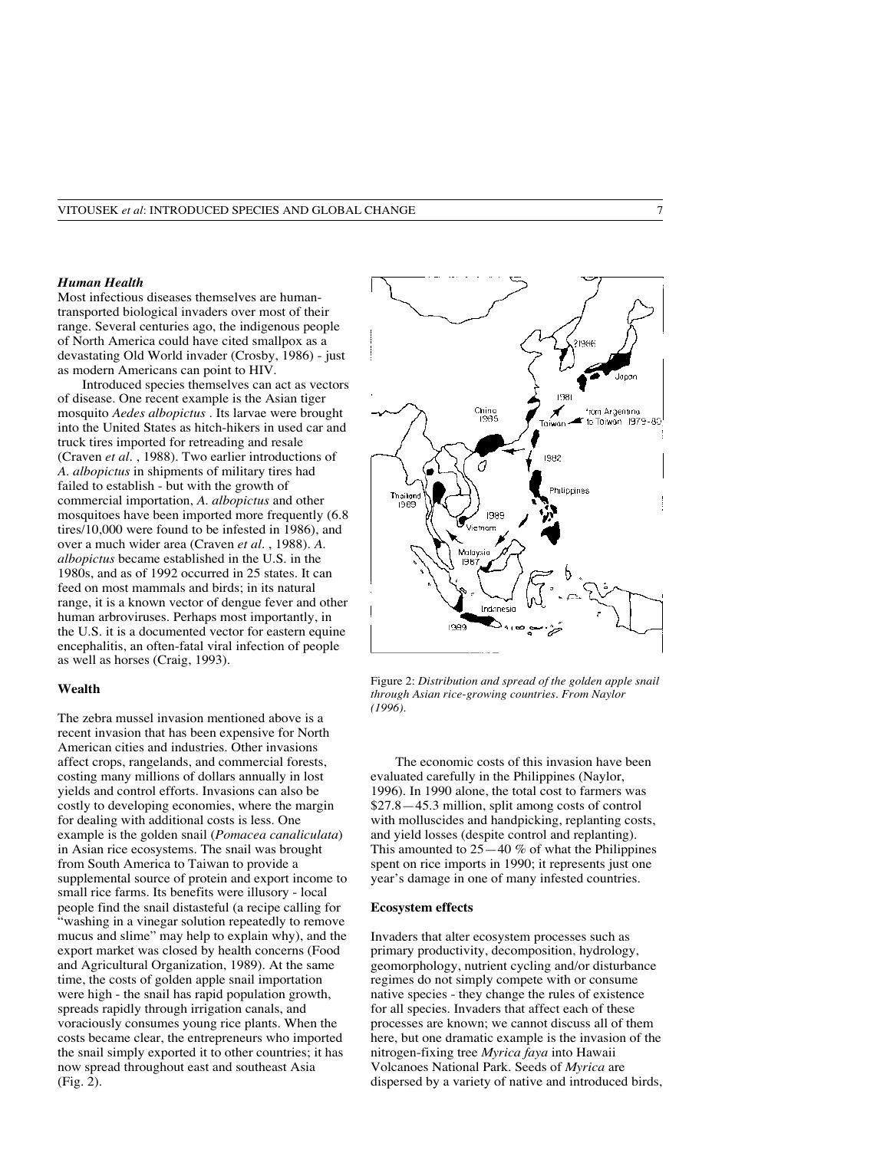### *Human Health*

Most infectious diseases themselves are humantransported biological invaders over most of their range. Several centuries ago, the indigenous people of North America could have cited smallpox as a devastating Old World invader (Crosby, 1986) - just as modern Americans can point to HIV.

Introduced species themselves can act as vectors of disease. One recent example is the Asian tiger mosquito *Aedes albopictus* . Its larvae were brought into the United States as hitch-hikers in used car and truck tires imported for retreading and resale (Craven *et al.* , 1988). Two earlier introductions of *A. albopictus* in shipments of military tires had failed to establish - but with the growth of commercial importation, *A. albopictus* and other mosquitoes have been imported more frequently (6.8 tires/10,000 were found to be infested in 1986), and over a much wider area (Craven *et al.* , 1988). *A. albopictus* became established in the U.S. in the 1980s, and as of 1992 occurred in 25 states. It can feed on most mammals and birds; in its natural range, it is a known vector of dengue fever and other human arbroviruses. Perhaps most importantly, in the U.S. it is a documented vector for eastern equine encephalitis, an often-fatal viral infection of people as well as horses (Craig, 1993).

### **Wealth**

The zebra mussel invasion mentioned above is a recent invasion that has been expensive for North American cities and industries. Other invasions affect crops, rangelands, and commercial forests, costing many millions of dollars annually in lost yields and control efforts. Invasions can also be costly to developing economies, where the margin for dealing with additional costs is less. One example is the golden snail (*Pomacea canaliculata*) in Asian rice ecosystems. The snail was brought from South America to Taiwan to provide a supplemental source of protein and export income to small rice farms. Its benefits were illusory - local people find the snail distasteful (a recipe calling for "washing in a vinegar solution repeatedly to remove mucus and slime" may help to explain why), and the export market was closed by health concerns (Food and Agricultural Organization, 1989). At the same time, the costs of golden apple snail importation were high - the snail has rapid population growth, spreads rapidly through irrigation canals, and voraciously consumes young rice plants. When the costs became clear, the entrepreneurs who imported the snail simply exported it to other countries; it has now spread throughout east and southeast Asia (Fig. 2).



Figure 2: *Distribution and spread of the golden apple snail through Asian rice-growing countries. From Naylor (1996).*

The economic costs of this invasion have been evaluated carefully in the Philippines (Naylor, 1996). In 1990 alone, the total cost to farmers was \$27.8—45.3 million, split among costs of control with molluscides and handpicking, replanting costs, and yield losses (despite control and replanting). This amounted to  $25-40\%$  of what the Philippines spent on rice imports in 1990; it represents just one year's damage in one of many infested countries.

### **Ecosystem effects**

Invaders that alter ecosystem processes such as primary productivity, decomposition, hydrology, geomorphology, nutrient cycling and/or disturbance regimes do not simply compete with or consume native species - they change the rules of existence for all species. Invaders that affect each of these processes are known; we cannot discuss all of them here, but one dramatic example is the invasion of the nitrogen-fixing tree *Myrica faya* into Hawaii Volcanoes National Park. Seeds of *Myrica* are dispersed by a variety of native and introduced birds,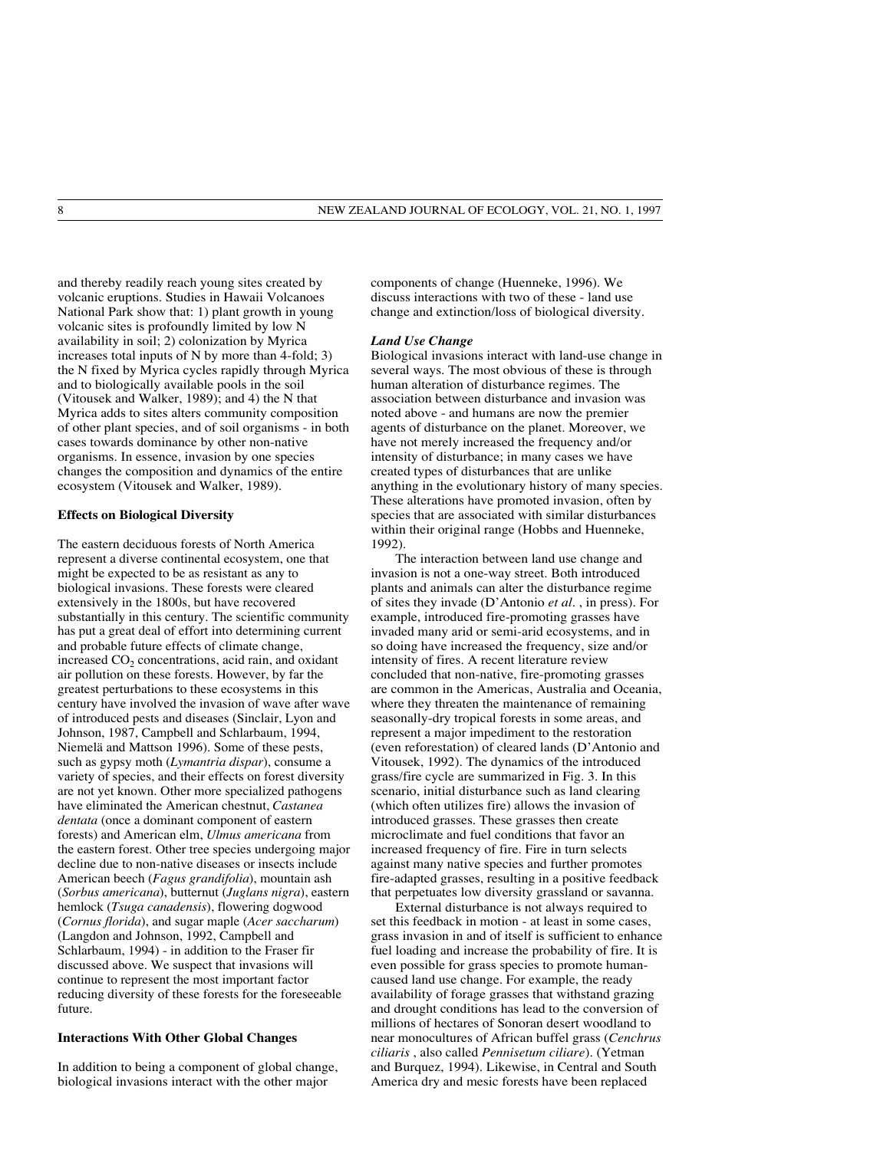and thereby readily reach young sites created by volcanic eruptions. Studies in Hawaii Volcanoes National Park show that: 1) plant growth in young volcanic sites is profoundly limited by low N availability in soil; 2) colonization by Myrica increases total inputs of N by more than 4-fold; 3) the N fixed by Myrica cycles rapidly through Myrica and to biologically available pools in the soil (Vitousek and Walker, 1989); and 4) the N that Myrica adds to sites alters community composition of other plant species, and of soil organisms - in both cases towards dominance by other non-native organisms. In essence, invasion by one species changes the composition and dynamics of the entire ecosystem (Vitousek and Walker, 1989).

### **Effects on Biological Diversity**

The eastern deciduous forests of North America represent a diverse continental ecosystem, one that might be expected to be as resistant as any to biological invasions. These forests were cleared extensively in the 1800s, but have recovered substantially in this century. The scientific community has put a great deal of effort into determining current and probable future effects of climate change, increased  $CO<sub>2</sub>$  concentrations, acid rain, and oxidant air pollution on these forests. However, by far the greatest perturbations to these ecosystems in this century have involved the invasion of wave after wave of introduced pests and diseases (Sinclair, Lyon and Johnson, 1987, Campbell and Schlarbaum, 1994, Niemelä and Mattson 1996). Some of these pests, such as gypsy moth (*Lymantria dispar*), consume a variety of species, and their effects on forest diversity are not yet known. Other more specialized pathogens have eliminated the American chestnut, *Castanea dentata* (once a dominant component of eastern forests) and American elm, *Ulmus americana* from the eastern forest. Other tree species undergoing major decline due to non-native diseases or insects include American beech (*Fagus grandifolia*), mountain ash (*Sorbus americana*), butternut (*Juglans nigra*), eastern hemlock (*Tsuga canadensis*), flowering dogwood (*Cornus florida*), and sugar maple (*Acer saccharum*) (Langdon and Johnson, 1992, Campbell and Schlarbaum, 1994) - in addition to the Fraser fir discussed above. We suspect that invasions will continue to represent the most important factor reducing diversity of these forests for the foreseeable future.

## **Interactions With Other Global Changes**

In addition to being a component of global change, biological invasions interact with the other major

components of change (Huenneke, 1996). We discuss interactions with two of these - land use change and extinction/loss of biological diversity.

#### *Land Use Change*

Biological invasions interact with land-use change in several ways. The most obvious of these is through human alteration of disturbance regimes. The association between disturbance and invasion was noted above - and humans are now the premier agents of disturbance on the planet. Moreover, we have not merely increased the frequency and/or intensity of disturbance; in many cases we have created types of disturbances that are unlike anything in the evolutionary history of many species. These alterations have promoted invasion, often by species that are associated with similar disturbances within their original range (Hobbs and Huenneke, 1992).

The interaction between land use change and invasion is not a one-way street. Both introduced plants and animals can alter the disturbance regime of sites they invade (D'Antonio *et al.* , in press). For example, introduced fire-promoting grasses have invaded many arid or semi-arid ecosystems, and in so doing have increased the frequency, size and/or intensity of fires. A recent literature review concluded that non-native, fire-promoting grasses are common in the Americas, Australia and Oceania, where they threaten the maintenance of remaining seasonally-dry tropical forests in some areas, and represent a major impediment to the restoration (even reforestation) of cleared lands (D'Antonio and Vitousek, 1992). The dynamics of the introduced grass/fire cycle are summarized in Fig. 3. In this scenario, initial disturbance such as land clearing (which often utilizes fire) allows the invasion of introduced grasses. These grasses then create microclimate and fuel conditions that favor an increased frequency of fire. Fire in turn selects against many native species and further promotes fire-adapted grasses, resulting in a positive feedback that perpetuates low diversity grassland or savanna.

External disturbance is not always required to set this feedback in motion - at least in some cases, grass invasion in and of itself is sufficient to enhance fuel loading and increase the probability of fire. It is even possible for grass species to promote humancaused land use change. For example, the ready availability of forage grasses that withstand grazing and drought conditions has lead to the conversion of millions of hectares of Sonoran desert woodland to near monocultures of African buffel grass (*Cenchrus ciliaris* , also called *Pennisetum ciliare*). (Yetman and Burquez, 1994). Likewise, in Central and South America dry and mesic forests have been replaced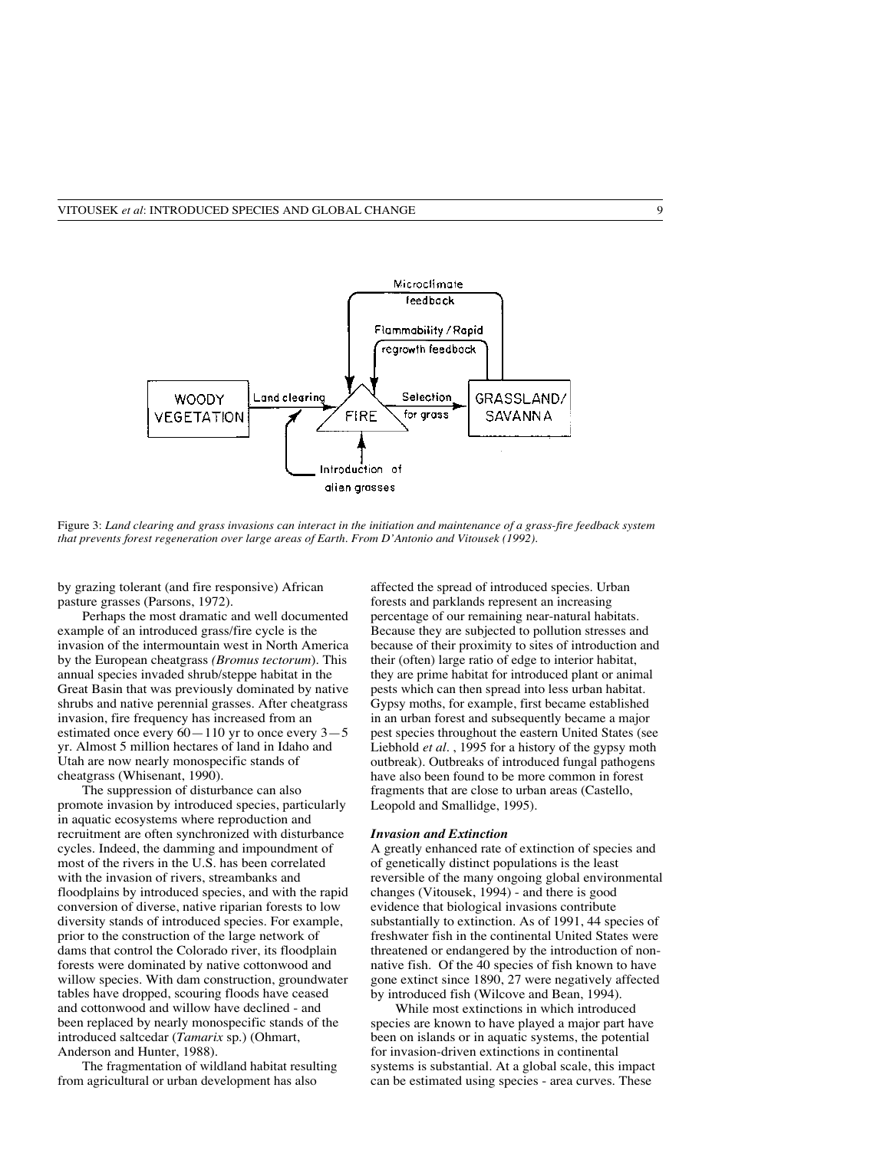

Figure 3: *Land clearing and grass invasions can interact in the initiation and maintenance of a grass-fire feedback system that prevents forest regeneration over large areas of Earth. From D'Antonio and Vitousek (1992).*

by grazing tolerant (and fire responsive) African pasture grasses (Parsons, 1972).

Perhaps the most dramatic and well documented example of an introduced grass/fire cycle is the invasion of the intermountain west in North America by the European cheatgrass *(Bromus tectorum*). This annual species invaded shrub/steppe habitat in the Great Basin that was previously dominated by native shrubs and native perennial grasses. After cheatgrass invasion, fire frequency has increased from an estimated once every  $60 - 110$  yr to once every  $3 - 5$ yr. Almost 5 million hectares of land in Idaho and Utah are now nearly monospecific stands of cheatgrass (Whisenant, 1990).

The suppression of disturbance can also promote invasion by introduced species, particularly in aquatic ecosystems where reproduction and recruitment are often synchronized with disturbance cycles. Indeed, the damming and impoundment of most of the rivers in the U.S. has been correlated with the invasion of rivers, streambanks and floodplains by introduced species, and with the rapid conversion of diverse, native riparian forests to low diversity stands of introduced species. For example, prior to the construction of the large network of dams that control the Colorado river, its floodplain forests were dominated by native cottonwood and willow species. With dam construction, groundwater tables have dropped, scouring floods have ceased and cottonwood and willow have declined - and been replaced by nearly monospecific stands of the introduced saltcedar (*Tamarix* sp.) (Ohmart, Anderson and Hunter, 1988).

The fragmentation of wildland habitat resulting from agricultural or urban development has also

affected the spread of introduced species. Urban forests and parklands represent an increasing percentage of our remaining near-natural habitats. Because they are subjected to pollution stresses and because of their proximity to sites of introduction and their (often) large ratio of edge to interior habitat, they are prime habitat for introduced plant or animal pests which can then spread into less urban habitat. Gypsy moths, for example, first became established in an urban forest and subsequently became a major pest species throughout the eastern United States (see Liebhold *et al.* , 1995 for a history of the gypsy moth outbreak). Outbreaks of introduced fungal pathogens have also been found to be more common in forest fragments that are close to urban areas (Castello, Leopold and Smallidge, 1995).

#### *Invasion and Extinction*

A greatly enhanced rate of extinction of species and of genetically distinct populations is the least reversible of the many ongoing global environmental changes (Vitousek, 1994) - and there is good evidence that biological invasions contribute substantially to extinction. As of 1991, 44 species of freshwater fish in the continental United States were threatened or endangered by the introduction of nonnative fish. Of the 40 species of fish known to have gone extinct since 1890, 27 were negatively affected by introduced fish (Wilcove and Bean, 1994).

While most extinctions in which introduced species are known to have played a major part have been on islands or in aquatic systems, the potential for invasion-driven extinctions in continental systems is substantial. At a global scale, this impact can be estimated using species - area curves. These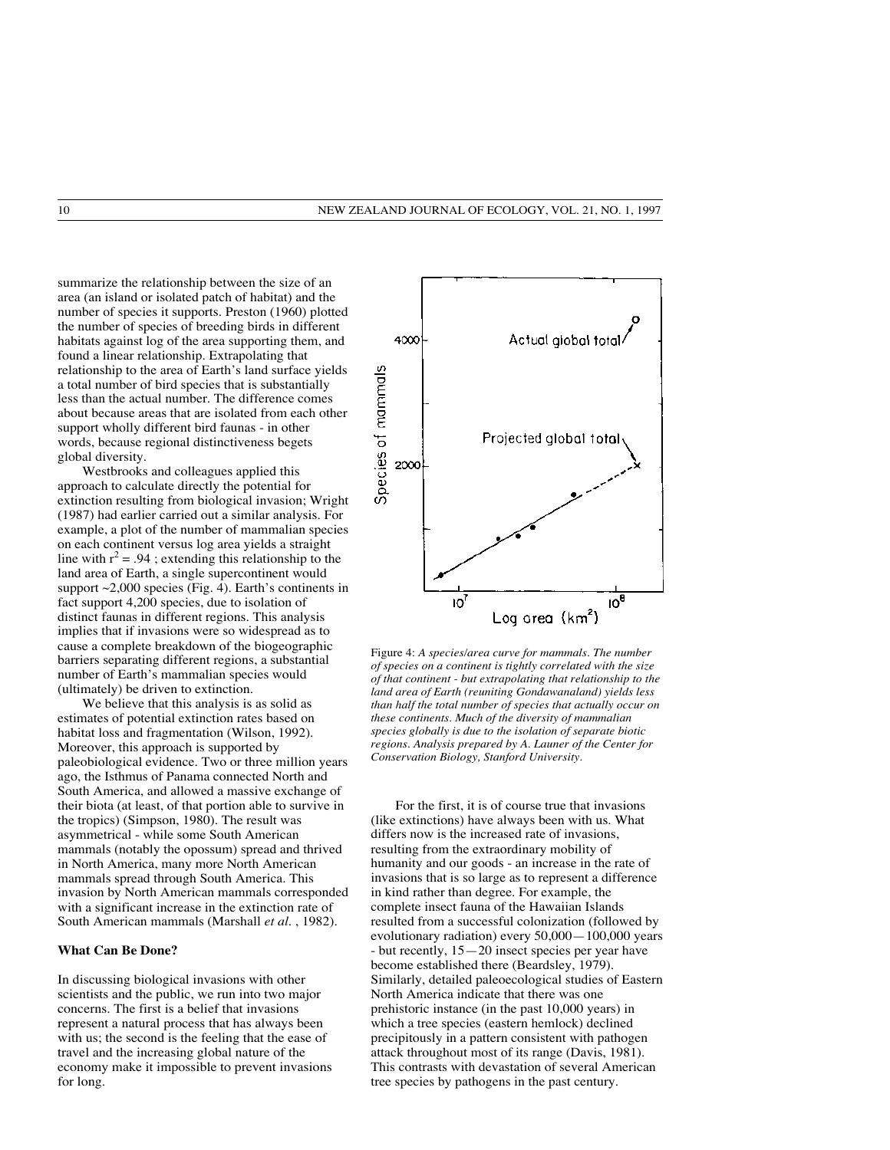summarize the relationship between the size of an area (an island or isolated patch of habitat) and the number of species it supports. Preston (1960) plotted the number of species of breeding birds in different habitats against log of the area supporting them, and found a linear relationship. Extrapolating that relationship to the area of Earth's land surface yields a total number of bird species that is substantially less than the actual number. The difference comes about because areas that are isolated from each other support wholly different bird faunas - in other words, because regional distinctiveness begets global diversity.

Westbrooks and colleagues applied this approach to calculate directly the potential for extinction resulting from biological invasion; Wright (1987) had earlier carried out a similar analysis. For example, a plot of the number of mammalian species on each continent versus log area yields a straight line with  $r^2 = .94$ ; extending this relationship to the land area of Earth, a single supercontinent would support  $\sim$  2,000 species (Fig. 4). Earth's continents in fact support 4,200 species, due to isolation of distinct faunas in different regions. This analysis implies that if invasions were so widespread as to cause a complete breakdown of the biogeographic barriers separating different regions, a substantial number of Earth's mammalian species would (ultimately) be driven to extinction.

We believe that this analysis is as solid as estimates of potential extinction rates based on habitat loss and fragmentation (Wilson, 1992). Moreover, this approach is supported by paleobiological evidence. Two or three million years ago, the Isthmus of Panama connected North and South America, and allowed a massive exchange of their biota (at least, of that portion able to survive in the tropics) (Simpson, 1980). The result was asymmetrical - while some South American mammals (notably the opossum) spread and thrived in North America, many more North American mammals spread through South America. This invasion by North American mammals corresponded with a significant increase in the extinction rate of South American mammals (Marshall *et al.* , 1982).

#### **What Can Be Done?**

In discussing biological invasions with other scientists and the public, we run into two major concerns. The first is a belief that invasions represent a natural process that has always been with us; the second is the feeling that the ease of travel and the increasing global nature of the economy make it impossible to prevent invasions for long.



Figure 4: *A species/area curve for mammals. The number of species on a continent is tightly correlated with the size of that continent - but extrapolating that relationship to the land area of Earth (reuniting Gondawanaland) yields less than half the total number of species that actually occur on these continents. Much of the diversity of mammalian species globally is due to the isolation of separate biotic regions. Analysis prepared by A. Launer of the Center for Conservation Biology, Stanford University.*

For the first, it is of course true that invasions (like extinctions) have always been with us. What differs now is the increased rate of invasions, resulting from the extraordinary mobility of humanity and our goods - an increase in the rate of invasions that is so large as to represent a difference in kind rather than degree. For example, the complete insect fauna of the Hawaiian Islands resulted from a successful colonization (followed by evolutionary radiation) every 50,000—100,000 years - but recently, 15—20 insect species per year have become established there (Beardsley, 1979). Similarly, detailed paleoecological studies of Eastern North America indicate that there was one prehistoric instance (in the past 10,000 years) in which a tree species (eastern hemlock) declined precipitously in a pattern consistent with pathogen attack throughout most of its range (Davis, 1981). This contrasts with devastation of several American tree species by pathogens in the past century.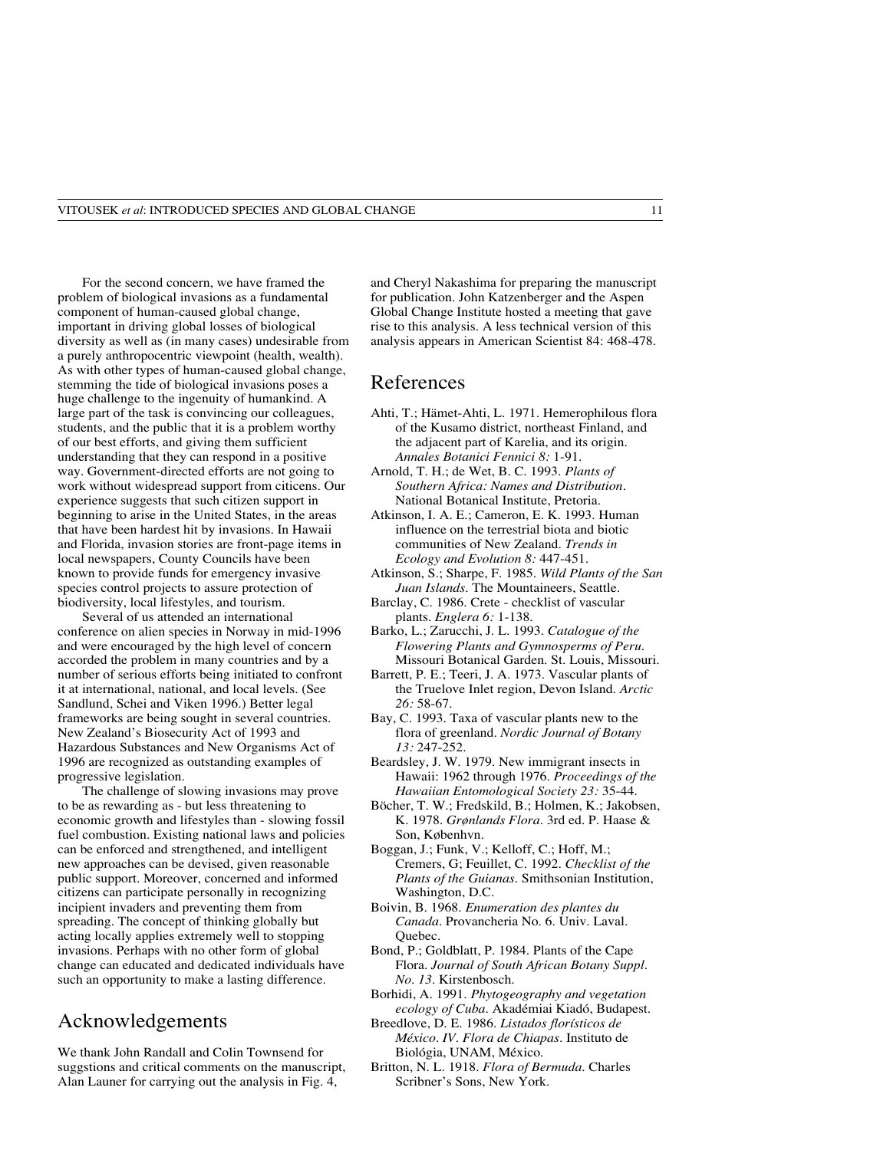For the second concern, we have framed the problem of biological invasions as a fundamental component of human-caused global change, important in driving global losses of biological diversity as well as (in many cases) undesirable from a purely anthropocentric viewpoint (health, wealth). As with other types of human-caused global change, stemming the tide of biological invasions poses a huge challenge to the ingenuity of humankind. A large part of the task is convincing our colleagues, students, and the public that it is a problem worthy of our best efforts, and giving them sufficient understanding that they can respond in a positive way. Government-directed efforts are not going to work without widespread support from citicens. Our experience suggests that such citizen support in beginning to arise in the United States, in the areas that have been hardest hit by invasions. In Hawaii and Florida, invasion stories are front-page items in local newspapers, County Councils have been known to provide funds for emergency invasive species control projects to assure protection of biodiversity, local lifestyles, and tourism.

Several of us attended an international conference on alien species in Norway in mid-1996 and were encouraged by the high level of concern accorded the problem in many countries and by a number of serious efforts being initiated to confront it at international, national, and local levels. (See Sandlund, Schei and Viken 1996.) Better legal frameworks are being sought in several countries. New Zealand's Biosecurity Act of 1993 and Hazardous Substances and New Organisms Act of 1996 are recognized as outstanding examples of progressive legislation.

The challenge of slowing invasions may prove to be as rewarding as - but less threatening to economic growth and lifestyles than - slowing fossil fuel combustion. Existing national laws and policies can be enforced and strengthened, and intelligent new approaches can be devised, given reasonable public support. Moreover, concerned and informed citizens can participate personally in recognizing incipient invaders and preventing them from spreading. The concept of thinking globally but acting locally applies extremely well to stopping invasions. Perhaps with no other form of global change can educated and dedicated individuals have such an opportunity to make a lasting difference.

## Acknowledgements

We thank John Randall and Colin Townsend for suggstions and critical comments on the manuscript, Alan Launer for carrying out the analysis in Fig. 4,

and Cheryl Nakashima for preparing the manuscript for publication. John Katzenberger and the Aspen Global Change Institute hosted a meeting that gave rise to this analysis. A less technical version of this analysis appears in American Scientist 84: 468-478.

## References

- Ahti, T.; Hämet-Ahti, L. 1971. Hemerophilous flora of the Kusamo district, northeast Finland, and the adjacent part of Karelia, and its origin. *Annales Botanici Fennici 8:* 1-91.
- Arnold, T. H.; de Wet, B. C. 1993. *Plants of Southern Africa: Names and Distribution*. National Botanical Institute, Pretoria.
- Atkinson, I. A. E.; Cameron, E. K. 1993. Human influence on the terrestrial biota and biotic communities of New Zealand. *Trends in Ecology and Evolution 8:* 447-451.
- Atkinson, S.; Sharpe, F. 1985. *Wild Plants of the San Juan Islands.* The Mountaineers, Seattle.
- Barclay, C. 1986. Crete checklist of vascular plants. *Englera 6:* 1-138.
- Barko, L.; Zarucchi, J. L. 1993*. Catalogue of the Flowering Plants and Gymnosperms of Peru.* Missouri Botanical Garden. St. Louis, Missouri.
- Barrett, P. E.; Teeri, J. A. 1973. Vascular plants of the Truelove Inlet region, Devon Island. *Arctic 26:* 58-67.
- Bay, C. 1993. Taxa of vascular plants new to the flora of greenland. *Nordic Journal of Botany 13:* 247-252.
- Beardsley, J. W. 1979. New immigrant insects in Hawaii: 1962 through 1976. *Proceedings of the Hawaiian Entomological Society 23:* 35-44.
- Böcher, T. W.; Fredskild, B.; Holmen, K.; Jakobsen, K. 1978. *Grønlands Flora.* 3rd ed. P. Haase & Son, Københvn.
- Boggan, J.; Funk, V.; Kelloff, C.; Hoff, M.; Cremers, G; Feuillet, C. 1992*. Checklist of the Plants of the Guianas.* Smithsonian Institution, Washington, D.C.
- Boivin, B. 1968. *Enumeration des plantes du Canada.* Provancheria No. 6. Univ. Laval. Quebec.
- Bond, P.; Goldblatt, P. 1984. Plants of the Cape Flora. *Journal of South African Botany Suppl. No. 13*. Kirstenbosch.
- Borhidi, A. 1991. *Phytogeography and vegetation ecology of Cuba.* Akadémiai Kiadó, Budapest.
- Breedlove, D. E. 1986. *Listados florísticos de México. IV. Flora de Chiapas.* Instituto de Biológia, UNAM, México.
- Britton, N. L. 1918. *Flora of Bermuda.* Charles Scribner's Sons, New York.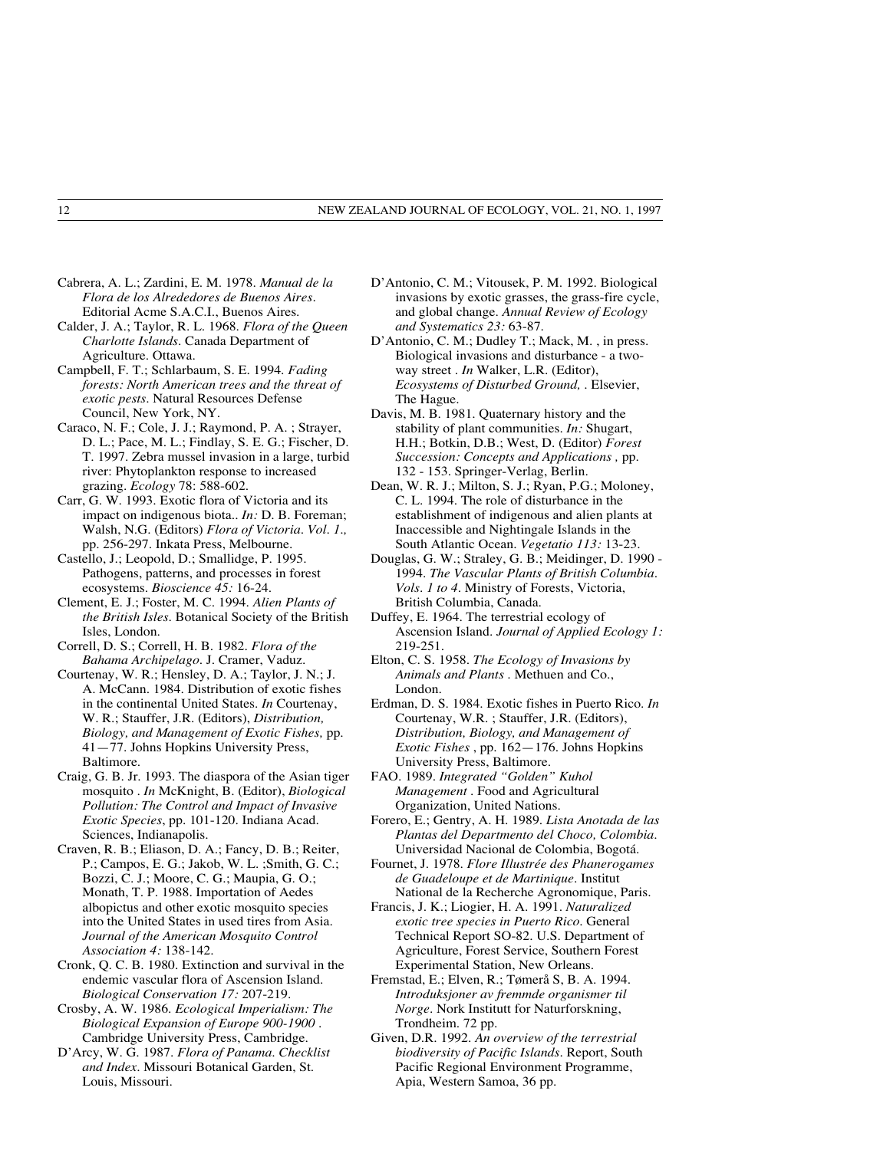- Cabrera, A. L.; Zardini, E. M. 1978. *Manual de la Flora de los Alrededores de Buenos Aires.* Editorial Acme S.A.C.I., Buenos Aires.
- Calder, J. A.; Taylor, R. L. 1968. *Flora of the Queen Charlotte Islands.* Canada Department of Agriculture. Ottawa.
- Campbell, F. T.; Schlarbaum, S. E. 1994. *Fading forests: North American trees and the threat of exotic pests*. Natural Resources Defense Council, New York, NY.
- Caraco, N. F.; Cole, J. J.; Raymond, P. A. ; Strayer, D. L.; Pace, M. L.; Findlay, S. E. G.; Fischer, D. T. 1997. Zebra mussel invasion in a large, turbid river: Phytoplankton response to increased grazing. *Ecology* 78: 588-602.
- Carr, G. W. 1993. Exotic flora of Victoria and its impact on indigenous biota.. *In:* D. B. Foreman; Walsh, N.G. (Editors) *Flora of Victoria. Vol. 1.,* pp. 256-297. Inkata Press, Melbourne.
- Castello, J.; Leopold, D.; Smallidge, P. 1995. Pathogens, patterns, and processes in forest ecosystems. *Bioscience 45:* 16-24.
- Clement, E. J.; Foster, M. C. 1994. *Alien Plants of the British Isles.* Botanical Society of the British Isles, London.
- Correll, D. S.; Correll, H. B. 1982. *Flora of the Bahama Archipelago.* J. Cramer, Vaduz.
- Courtenay, W. R.; Hensley, D. A.; Taylor, J. N.; J. A. McCann. 1984. Distribution of exotic fishes in the continental United States. *In* Courtenay, W. R.; Stauffer, J.R. (Editors), *Distribution, Biology, and Management of Exotic Fishes,* pp. 41—77*.* Johns Hopkins University Press, Baltimore.
- Craig, G. B. Jr. 1993. The diaspora of the Asian tiger mosquito . *In* McKnight, B. (Editor), *Biological Pollution: The Control and Impact of Invasive Exotic Species*, pp. 101-120. Indiana Acad. Sciences, Indianapolis.
- Craven, R. B.; Eliason, D. A.; Fancy, D. B.; Reiter, P.; Campos, E. G.; Jakob, W. L. ;Smith, G. C.; Bozzi, C. J.; Moore, C. G.; Maupia, G. O.; Monath, T. P. 1988. Importation of Aedes albopictus and other exotic mosquito species into the United States in used tires from Asia. *Journal of the American Mosquito Control Association 4:* 138-142.
- Cronk, Q. C. B. 1980. Extinction and survival in the endemic vascular flora of Ascension Island. *Biological Conservation 17:* 207-219.
- Crosby, A. W. 1986. *Ecological Imperialism: The Biological Expansion of Europe 900-1900 .* Cambridge University Press, Cambridge.
- D'Arcy, W. G. 1987. *Flora of Panama. Checklist and Index.* Missouri Botanical Garden, St. Louis, Missouri.
- D'Antonio, C. M.; Vitousek, P. M. 1992. Biological invasions by exotic grasses, the grass-fire cycle, and global change. *Annual Review of Ecology and Systematics 23:* 63-87.
- D'Antonio, C. M.; Dudley T.; Mack, M. , in press. Biological invasions and disturbance - a twoway street . *In* Walker, L.R. (Editor), *Ecosystems of Disturbed Ground, .* Elsevier, The Hague.
- Davis, M. B. 1981. Quaternary history and the stability of plant communities. *In:* Shugart, H.H.; Botkin, D.B.; West, D. (Editor) *Forest Succession: Concepts and Applications ,* pp. 132 - 153*.* Springer-Verlag, Berlin.
- Dean, W. R. J.; Milton, S. J.; Ryan, P.G.; Moloney, C. L. 1994. The role of disturbance in the establishment of indigenous and alien plants at Inaccessible and Nightingale Islands in the South Atlantic Ocean. *Vegetatio 113:* 13-23.
- Douglas, G. W.; Straley, G. B.; Meidinger, D. 1990 1994. *The Vascular Plants of British Columbia. Vols. 1 to 4.* Ministry of Forests, Victoria, British Columbia, Canada.
- Duffey, E. 1964. The terrestrial ecology of Ascension Island. *Journal of Applied Ecology 1:* 219-251.
- Elton, C. S. 1958. *The Ecology of Invasions by Animals and Plants* . Methuen and Co., London.
- Erdman, D. S. 1984. Exotic fishes in Puerto Rico. *In* Courtenay, W.R. ; Stauffer, J.R. (Editors), *Distribution, Biology, and Management of Exotic Fishes* , pp. 162—176. Johns Hopkins University Press, Baltimore.
- FAO. 1989. *Integrated "Golden" Kuhol Management* . Food and Agricultural Organization, United Nations.
- Forero, E.; Gentry, A. H. 1989. *Lista Anotada de las Plantas del Departmento del Choco, Colombia*. Universidad Nacional de Colombia, Bogotá.
- Fournet, J. 1978. *Flore Illustrée des Phanerogames de Guadeloupe et de Martinique.* Institut National de la Recherche Agronomique, Paris.
- Francis, J. K.; Liogier, H. A. 1991. *Naturalized exotic tree species in Puerto Rico*. General Technical Report SO-82. U.S. Department of Agriculture, Forest Service, Southern Forest Experimental Station, New Orleans.
- Fremstad, E.; Elven, R.; Tømerå S, B. A. 1994*. Introduksjoner av fremmde organismer til Norge.* Nork Institutt for Naturforskning, Trondheim. 72 pp.
- Given, D.R. 1992. *An overview of the terrestrial biodiversity of Pacific Islands.* Report, South Pacific Regional Environment Programme, Apia, Western Samoa, 36 pp.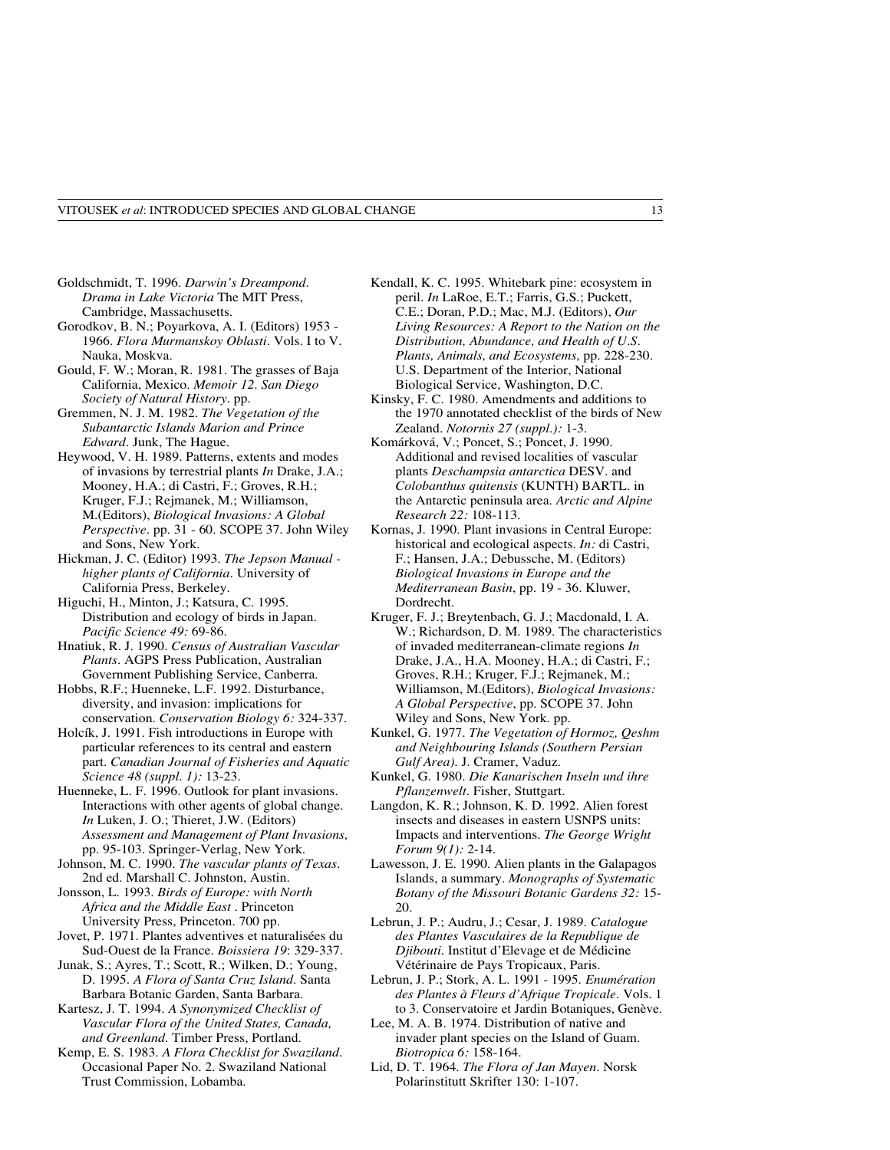- Goldschmidt, T. 1996. *Darwin's Dreampond. Drama in Lake Victoria* The MIT Press, Cambridge, Massachusetts.
- Gorodkov, B. N.; Poyarkova, A. I. (Editors) 1953 1966. *Flora Murmanskoy Oblasti*. Vols. I to V. Nauka, Moskva.
- Gould, F. W.; Moran, R. 1981. The grasses of Baja California, Mexico. *Memoir 12. San Diego Society of Natural History.* pp.
- Gremmen, N. J. M. 1982. *The Vegetation of the Subantarctic Islands Marion and Prince Edward.* Junk, The Hague.
- Heywood, V. H. 1989. Patterns, extents and modes of invasions by terrestrial plants *In* Drake, J.A.; Mooney, H.A.; di Castri, F.; Groves, R.H.; Kruger, F.J.; Rejmanek, M.; Williamson, M.(Editors), *Biological Invasions: A Global Perspective.* pp. 31 - 60. SCOPE 37. John Wiley and Sons, New York.
- Hickman, J. C. (Editor) 1993. *The Jepson Manual higher plants of California.* University of California Press, Berkeley.
- Higuchi, H., Minton, J.; Katsura, C. 1995. Distribution and ecology of birds in Japan*. Pacific Science 49:* 69-86.
- Hnatiuk, R. J. 1990. *Census of Australian Vascular Plants*. AGPS Press Publication, Australian Government Publishing Service, Canberra.
- Hobbs, R.F.; Huenneke, L.F. 1992. Disturbance, diversity, and invasion: implications for conservation. *Conservation Biology 6:* 324-337.
- Holcík, J. 1991. Fish introductions in Europe with particular references to its central and eastern part. *Canadian Journal of Fisheries and Aquatic Science 48 (suppl. 1):* 13-23.
- Huenneke, L. F. 1996. Outlook for plant invasions. Interactions with other agents of global change. *In* Luken, J. O.; Thieret, J.W. (Editors) *Assessment and Management of Plant Invasions,* pp. 95-103. Springer-Verlag, New York.
- Johnson, M. C. 1990. *The vascular plants of Texas.* 2nd ed. Marshall C. Johnston, Austin.
- Jonsson, L. 1993. *Birds of Europe: with North Africa and the Middle East* . Princeton University Press, Princeton. 700 pp.
- Jovet, P. 1971. Plantes adventives et naturalisées du Sud-Ouest de la France. *Boissiera 19*: 329-337.
- Junak, S.; Ayres, T.; Scott, R.; Wilken, D.; Young, D. 1995. *A Flora of Santa Cruz Island*. Santa Barbara Botanic Garden, Santa Barbara.
- Kartesz, J. T. 1994*. A Synonymized Checklist of Vascular Flora of the United States, Canada, and Greenland.* Timber Press, Portland.
- Kemp, E. S. 1983. *A Flora Checklist for Swaziland.* Occasional Paper No. 2. Swaziland National Trust Commission, Lobamba.
- Kendall, K. C. 1995. Whitebark pine: ecosystem in peril. *In* LaRoe, E.T.; Farris, G.S.; Puckett, C.E.; Doran, P.D.; Mac, M.J. (Editors), *Our Living Resources: A Report to the Nation on the Distribution, Abundance, and Health of U.S. Plants, Animals, and Ecosystems,* pp. 228-230. U.S. Department of the Interior, National Biological Service, Washington, D.C.
- Kinsky, F. C. 1980. Amendments and additions to the 1970 annotated checklist of the birds of New Zealand. *Notornis 27 (suppl.):* 1-3.
- Komárková, V.; Poncet, S.; Poncet, J. 1990. Additional and revised localities of vascular plants *Deschampsia antarctica* DESV. and *Colobanthus quitensis* (KUNTH) BARTL. in the Antarctic peninsula area. *Arctic and Alpine Research 22:* 108-113.
- Kornas, J. 1990. Plant invasions in Central Europe: historical and ecological aspects. *In:* di Castri, F.; Hansen, J.A.; Debussche, M. (Editors) *Biological Invasions in Europe and the Mediterranean Basin*, pp. 19 - 36. Kluwer, Dordrecht.
- Kruger, F. J.; Breytenbach, G. J.; Macdonald, I. A. W.; Richardson, D. M. 1989. The characteristics of invaded mediterranean-climate regions *In* Drake, J.A., H.A. Mooney, H.A.; di Castri, F.; Groves, R.H.; Kruger, F.J.; Rejmanek, M.; Williamson, M.(Editors), *Biological Invasions: A Global Perspective*, pp. SCOPE 37. John Wiley and Sons, New York. pp.
- Kunkel, G. 1977*. The Vegetation of Hormoz, Qeshm and Neighbouring Islands (Southern Persian Gulf Area).* J. Cramer, Vaduz.
- Kunkel, G. 1980. *Die Kanarischen Inseln und ihre Pflanzenwelt.* Fisher, Stuttgart.
- Langdon, K. R.; Johnson, K. D. 1992. Alien forest insects and diseases in eastern USNPS units: Impacts and interventions. *The George Wright Forum 9(1):* 2-14.
- Lawesson, J. E. 1990. Alien plants in the Galapagos Islands, a summary*. Monographs of Systematic Botany of the Missouri Botanic Gardens 32:* 15- 20.
- Lebrun, J. P.; Audru, J.; Cesar, J. 1989. *Catalogue des Plantes Vasculaires de la Republique de Djibouti*. Institut d'Elevage et de Médicine Vétérinaire de Pays Tropicaux, Paris.
- Lebrun, J. P.; Stork, A. L. 1991 1995. *Enumération des Plantes à Fleurs d'Afrique Tropicale.* Vols. 1 to 3. Conservatoire et Jardin Botaniques, Genève.
- Lee, M. A. B. 1974. Distribution of native and invader plant species on the Island of Guam. *Biotropica 6:* 158-164.
- Lid, D. T. 1964. *The Flora of Jan Mayen.* Norsk Polarinstitutt Skrifter 130: 1-107.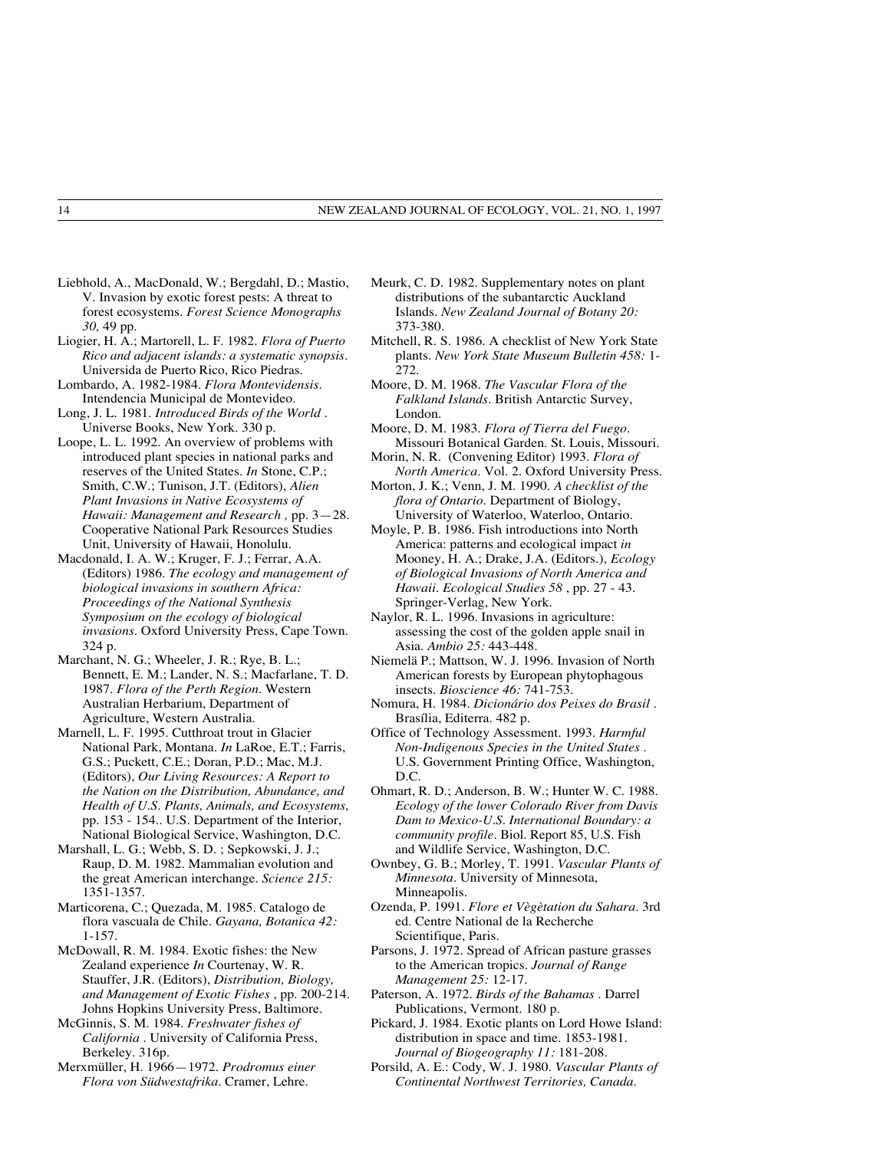- Liebhold, A., MacDonald, W.; Bergdahl, D.; Mastio, V. Invasion by exotic forest pests: A threat to forest ecosystems. *Forest Science Monographs 30,* 49 pp.
- Liogier, H. A.; Martorell, L. F. 1982*. Flora of Puerto Rico and adjacent islands: a systematic synopsis.* Universida de Puerto Rico, Rico Piedras.
- Lombardo, A. 1982-1984. *Flora Montevidensis.* Intendencia Municipal de Montevideo.
- Long, J. L. 1981. *Introduced Birds of the World .* Universe Books, New York. 330 p.
- Loope, L. L. 1992. An overview of problems with introduced plant species in national parks and reserves of the United States. *In* Stone, C.P.; Smith, C.W.; Tunison, J.T. (Editors), *Alien Plant Invasions in Native Ecosystems of Hawaii: Management and Research ,* pp. 3—28. Cooperative National Park Resources Studies Unit, University of Hawaii, Honolulu.
- Macdonald, I. A. W.; Kruger, F. J.; Ferrar, A.A. (Editors) 1986. *The ecology and management of biological invasions in southern Africa: Proceedings of the National Synthesis Symposium on the ecology of biological invasions*. Oxford University Press, Cape Town. 324 p.
- Marchant, N. G.; Wheeler, J. R.; Rye, B. L.; Bennett, E. M.; Lander, N. S.; Macfarlane, T. D. 1987. *Flora of the Perth Region.* Western Australian Herbarium, Department of Agriculture, Western Australia.
- Marnell, L. F. 1995. Cutthroat trout in Glacier National Park, Montana. *In* LaRoe, E.T.; Farris, G.S.; Puckett, C.E.; Doran, P.D.; Mac, M.J. (Editors), *Our Living Resources: A Report to the Nation on the Distribution, Abundance, and Health of U.S. Plants, Animals, and Ecosystems,* pp. 153 - 154.. U.S. Department of the Interior, National Biological Service, Washington, D.C.
- Marshall, L. G.; Webb, S. D. ; Sepkowski, J. J.; Raup, D. M. 1982. Mammalian evolution and the great American interchange. *Science 215:* 1351-1357.
- Marticorena, C.; Quezada, M. 1985. Catalogo de flora vascuala de Chile. *Gayana, Botanica 42:* 1-157.
- McDowall, R. M. 1984. Exotic fishes: the New Zealand experience *In* Courtenay, W. R. Stauffer, J.R. (Editors), *Distribution, Biology, and Management of Exotic Fishes* , pp. 200-214. Johns Hopkins University Press, Baltimore.
- McGinnis, S. M. 1984. *Freshwater fishes of California .* University of California Press, Berkeley. 316p.
- Merxmüller, H. 1966—1972. *Prodromus einer Flora von Südwestafrika.* Cramer, Lehre.
- Meurk, C. D. 1982. Supplementary notes on plant distributions of the subantarctic Auckland Islands. *New Zealand Journal of Botany 20:* 373-380.
- Mitchell, R. S. 1986. A checklist of New York State plants*. New York State Museum Bulletin 458:* 1- 272.
- Moore, D. M. 1968. *The Vascular Flora of the Falkland Islands.* British Antarctic Survey, London.
- Moore, D. M. 1983. *Flora of Tierra del Fuego.* Missouri Botanical Garden. St. Louis, Missouri.
- Morin, N. R. (Convening Editor) 1993. *Flora of North America.* Vol. 2. Oxford University Press.
- Morton, J. K.; Venn, J. M. 1990. *A checklist of the flora of Ontario.* Department of Biology, University of Waterloo, Waterloo, Ontario.
- Moyle, P. B. 1986. Fish introductions into North America: patterns and ecological impact *in* Mooney, H. A.; Drake, J.A. (Editors.), *Ecology of Biological Invasions of North America and Hawaii. Ecological Studies 58* , pp. 27 - 43. Springer-Verlag, New York.
- Naylor, R. L. 1996. Invasions in agriculture: assessing the cost of the golden apple snail in Asia. *Ambio 25:* 443-448.
- Niemelä P.; Mattson, W. J. 1996. Invasion of North American forests by European phytophagous insects. *Bioscience 46:* 741-753.
- Nomura, H. 1984. *Dicionário dos Peixes do Brasil .* Brasília, Editerra. 482 p.
- Office of Technology Assessment. 1993. *Harmful Non-Indigenous Species in the United States* . U.S. Government Printing Office, Washington, D.C.
- Ohmart, R. D.; Anderson, B. W.; Hunter W. C. 1988. *Ecology of the lower Colorado River from Davis Dam to Mexico-U.S. International Boundary: a community profile*. Biol. Report 85, U.S. Fish and Wildlife Service, Washington, D.C.
- Ownbey, G. B.; Morley, T. 1991. *Vascular Plants of Minnesota.* University of Minnesota, Minneapolis.
- Ozenda, P. 1991. *Flore et Vègètation du Sahara.* 3rd ed. Centre National de la Recherche Scientifique, Paris.
- Parsons, J. 1972. Spread of African pasture grasses to the American tropics*. Journal of Range Management 25:* 12-17.
- Paterson, A. 1972. *Birds of the Bahamas .* Darrel Publications, Vermont. 180 p.
- Pickard, J. 1984. Exotic plants on Lord Howe Island: distribution in space and time. 1853-1981. *Journal of Biogeography 11:* 181-208.
- Porsild, A. E.: Cody, W. J. 1980. *Vascular Plants of Continental Northwest Territories, Canada.*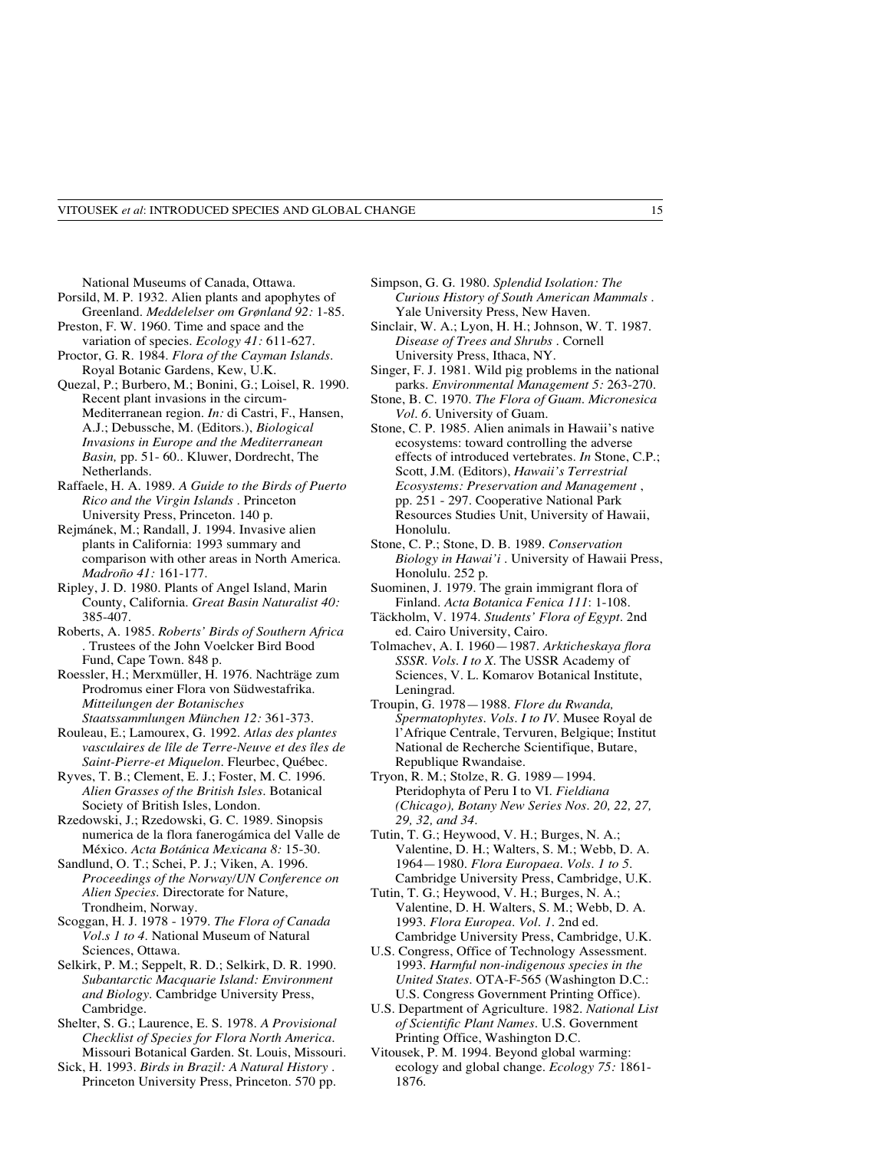National Museums of Canada, Ottawa.

- Porsild, M. P. 1932. Alien plants and apophytes of Greenland. *Meddelelser om Grønland 92:* 1-85. Preston, F. W. 1960. Time and space and the
- variation of species. *Ecology 41:* 611-627.
- Proctor, G. R. 1984. *Flora of the Cayman Islands.* Royal Botanic Gardens, Kew, U.K.
- Quezal, P.; Burbero, M.; Bonini, G.; Loisel, R. 1990. Recent plant invasions in the circum-Mediterranean region. *In:* di Castri, F., Hansen, A.J.; Debussche, M. (Editors.), *Biological Invasions in Europe and the Mediterranean Basin,* pp. 51- 60.. Kluwer, Dordrecht, The Netherlands.
- Raffaele, H. A. 1989. *A Guide to the Birds of Puerto Rico and the Virgin Islands .* Princeton University Press, Princeton. 140 p.
- Rejmánek, M.; Randall, J. 1994. Invasive alien plants in California: 1993 summary and comparison with other areas in North America. *Madroño 41:* 161-177.
- Ripley, J. D. 1980. Plants of Angel Island, Marin County, California. *Great Basin Naturalist 40:* 385-407.
- Roberts, A. 1985. *Roberts' Birds of Southern Africa .* Trustees of the John Voelcker Bird Bood Fund, Cape Town. 848 p.
- Roessler, H.; Merxmüller, H. 1976. Nachträge zum Prodromus einer Flora von Südwestafrika. *Mitteilungen der Botanisches Staatssammlungen München 12:* 361-373.
- Rouleau, E.; Lamourex, G. 1992*. Atlas des plantes vasculaires de lîle de Terre-Neuve et des îles de Saint-Pierre-et Miquelon*. Fleurbec, Québec.
- Ryves, T. B.; Clement, E. J.; Foster, M. C. 1996. *Alien Grasses of the British Isles.* Botanical Society of British Isles, London.
- Rzedowski, J.; Rzedowski, G. C. 1989. Sinopsis numerica de la flora fanerogámica del Valle de México. *Acta Botánica Mexicana 8:* 15-30.
- Sandlund, O. T.; Schei, P. J.; Viken, A. 1996. *Proceedings of the Norway/UN Conference on Alien Species.* Directorate for Nature, Trondheim, Norway.
- Scoggan, H. J. 1978 1979. *The Flora of Canada Vol.s 1 to 4.* National Museum of Natural Sciences, Ottawa.
- Selkirk, P. M.; Seppelt, R. D.; Selkirk, D. R. 1990. *Subantarctic Macquarie Island: Environment and Biology.* Cambridge University Press, Cambridge.
- Shelter, S. G.; Laurence, E. S. 1978*. A Provisional Checklist of Species for Flora North America.* Missouri Botanical Garden. St. Louis, Missouri.
- Sick, H. 1993. *Birds in Brazil: A Natural History* . Princeton University Press, Princeton. 570 pp.
- Simpson, G. G. 1980. *Splendid Isolation: The Curious History of South American Mammals .* Yale University Press, New Haven.
- Sinclair, W. A.; Lyon, H. H.; Johnson, W. T. 1987. *Disease of Trees and Shrubs* . Cornell University Press, Ithaca, NY.
- Singer, F. J. 1981. Wild pig problems in the national parks. *Environmental Management 5:* 263-270.
- Stone, B. C. 1970. *The Flora of Guam. Micronesica Vol. 6.* University of Guam.
- Stone, C. P. 1985. Alien animals in Hawaii's native ecosystems: toward controlling the adverse effects of introduced vertebrates. *In* Stone, C.P.; Scott, J.M. (Editors), *Hawaii's Terrestrial Ecosystems: Preservation and Management* , pp. 251 - 297. Cooperative National Park Resources Studies Unit, University of Hawaii, Honolulu.
- Stone, C. P.; Stone, D. B. 1989. *Conservation Biology in Hawai'i* . University of Hawaii Press, Honolulu. 252 p.
- Suominen, J. 1979. The grain immigrant flora of Finland. *Acta Botanica Fenica 111*: 1-108.
- Täckholm, V. 1974. *Students' Flora of Egypt.* 2nd ed. Cairo University, Cairo.
- Tolmachev, A. I. 1960—1987. *Arkticheskaya flora SSSR. Vols. I to X.* The USSR Academy of Sciences, V. L. Komarov Botanical Institute, Leningrad.
- Troupin, G. 1978—1988. *Flore du Rwanda, Spermatophytes. Vols. I to IV.* Musee Royal de l'Afrique Centrale, Tervuren, Belgique; Institut National de Recherche Scientifique, Butare, Republique Rwandaise.
- Tryon, R. M.; Stolze, R. G. 1989—1994. Pteridophyta of Peru I to VI. *Fieldiana (Chicago), Botany New Series Nos. 20, 22, 27, 29, 32, and 34.*
- Tutin, T. G.; Heywood, V. H.; Burges, N. A.; Valentine, D. H.; Walters, S. M.; Webb, D. A. 1964—1980. *Flora Europaea. Vols. 1 to 5.* Cambridge University Press, Cambridge, U.K.
- Tutin, T. G.; Heywood, V. H.; Burges, N. A.; Valentine, D. H. Walters, S. M.; Webb, D. A. 1993. *Flora Europea. Vol. 1.* 2nd ed. Cambridge University Press, Cambridge, U.K.
- U.S. Congress, Office of Technology Assessment. 1993. *Harmful non-indigenous species in the United States*. OTA-F-565 (Washington D.C.: U.S. Congress Government Printing Office).
- U.S. Department of Agriculture. 1982. *National List of Scientific Plant Names.* U.S. Government Printing Office, Washington D.C.
- Vitousek, P. M. 1994. Beyond global warming: ecology and global change. *Ecology 75:* 1861- 1876.